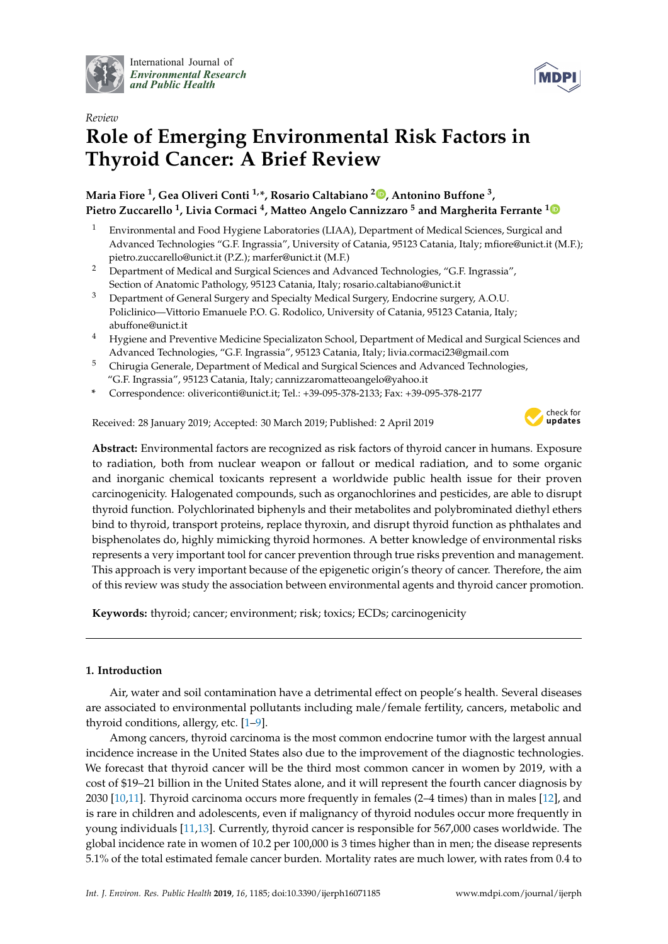

International Journal of *[Environmental Research](http://www.mdpi.com/journal/ijerph) and Public Health*



# *Review* **Role of Emerging Environmental Risk Factors in Thyroid Cancer: A Brief Review**

# **Maria Fiore <sup>1</sup> , Gea Oliveri Conti 1,\*, Rosario Caltabiano <sup>2</sup> [,](https://orcid.org/0000-0001-8591-8010) Antonino Buffone <sup>3</sup> , Pietro Zuccarello <sup>1</sup> , Livia Cormaci <sup>4</sup> , Matteo Angelo Cannizzaro <sup>5</sup> and Margherita Ferrante [1](https://orcid.org/0000-0001-7596-2464)**

- <sup>1</sup> Environmental and Food Hygiene Laboratories (LIAA), Department of Medical Sciences, Surgical and Advanced Technologies "G.F. Ingrassia", University of Catania, 95123 Catania, Italy; mfiore@unict.it (M.F.); pietro.zuccarello@unict.it (P.Z.); marfer@unict.it (M.F.)
- <sup>2</sup> Department of Medical and Surgical Sciences and Advanced Technologies, "G.F. Ingrassia", Section of Anatomic Pathology, 95123 Catania, Italy; rosario.caltabiano@unict.it
- <sup>3</sup> Department of General Surgery and Specialty Medical Surgery, Endocrine surgery, A.O.U. Policlinico—Vittorio Emanuele P.O. G. Rodolico, University of Catania, 95123 Catania, Italy; abuffone@unict.it
- <sup>4</sup> Hygiene and Preventive Medicine Specializaton School, Department of Medical and Surgical Sciences and Advanced Technologies, "G.F. Ingrassia", 95123 Catania, Italy; livia.cormaci23@gmail.com
- <sup>5</sup> Chirugia Generale, Department of Medical and Surgical Sciences and Advanced Technologies, "G.F. Ingrassia", 95123 Catania, Italy; cannizzaromatteoangelo@yahoo.it
- **\*** Correspondence: olivericonti@unict.it; Tel.: +39-095-378-2133; Fax: +39-095-378-2177

Received: 28 January 2019; Accepted: 30 March 2019; Published: 2 April 2019



**Abstract:** Environmental factors are recognized as risk factors of thyroid cancer in humans. Exposure to radiation, both from nuclear weapon or fallout or medical radiation, and to some organic and inorganic chemical toxicants represent a worldwide public health issue for their proven carcinogenicity. Halogenated compounds, such as organochlorines and pesticides, are able to disrupt thyroid function. Polychlorinated biphenyls and their metabolites and polybrominated diethyl ethers bind to thyroid, transport proteins, replace thyroxin, and disrupt thyroid function as phthalates and bisphenolates do, highly mimicking thyroid hormones. A better knowledge of environmental risks represents a very important tool for cancer prevention through true risks prevention and management. This approach is very important because of the epigenetic origin's theory of cancer. Therefore, the aim of this review was study the association between environmental agents and thyroid cancer promotion.

**Keywords:** thyroid; cancer; environment; risk; toxics; ECDs; carcinogenicity

# **1. Introduction**

Air, water and soil contamination have a detrimental effect on people's health. Several diseases are associated to environmental pollutants including male/female fertility, cancers, metabolic and thyroid conditions, allergy, etc. [\[1](#page-12-0)[–9\]](#page-12-1).

Among cancers, thyroid carcinoma is the most common endocrine tumor with the largest annual incidence increase in the United States also due to the improvement of the diagnostic technologies. We forecast that thyroid cancer will be the third most common cancer in women by 2019, with a cost of \$19–21 billion in the United States alone, and it will represent the fourth cancer diagnosis by 2030 [\[10](#page-12-2)[,11\]](#page-12-3). Thyroid carcinoma occurs more frequently in females (2–4 times) than in males [\[12\]](#page-12-4), and is rare in children and adolescents, even if malignancy of thyroid nodules occur more frequently in young individuals [\[11](#page-12-3)[,13\]](#page-13-0). Currently, thyroid cancer is responsible for 567,000 cases worldwide. The global incidence rate in women of 10.2 per 100,000 is 3 times higher than in men; the disease represents 5.1% of the total estimated female cancer burden. Mortality rates are much lower, with rates from 0.4 to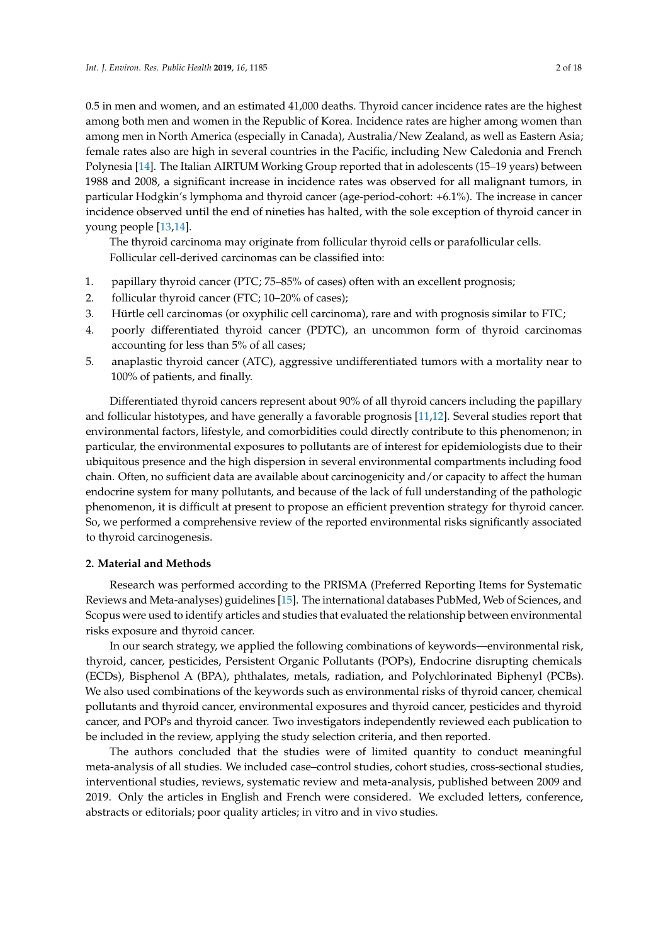0.5 in men and women, and an estimated 41,000 deaths. Thyroid cancer incidence rates are the highest among both men and women in the Republic of Korea. Incidence rates are higher among women than among men in North America (especially in Canada), Australia/New Zealand, as well as Eastern Asia; female rates also are high in several countries in the Pacific, including New Caledonia and French Polynesia [\[14\]](#page-13-1). The Italian AIRTUM Working Group reported that in adolescents (15–19 years) between 1988 and 2008, a significant increase in incidence rates was observed for all malignant tumors, in particular Hodgkin's lymphoma and thyroid cancer (age-period-cohort: +6.1%). The increase in cancer incidence observed until the end of nineties has halted, with the sole exception of thyroid cancer in young people [\[13,](#page-13-0)[14\]](#page-13-1).

The thyroid carcinoma may originate from follicular thyroid cells or parafollicular cells. Follicular cell-derived carcinomas can be classified into:

- 1. papillary thyroid cancer (PTC; 75–85% of cases) often with an excellent prognosis;
- 2. follicular thyroid cancer (FTC; 10–20% of cases);
- 3. Hürtle cell carcinomas (or oxyphilic cell carcinoma), rare and with prognosis similar to FTC;
- 4. poorly differentiated thyroid cancer (PDTC), an uncommon form of thyroid carcinomas accounting for less than 5% of all cases;
- 5. anaplastic thyroid cancer (ATC), aggressive undifferentiated tumors with a mortality near to 100% of patients, and finally.

Differentiated thyroid cancers represent about 90% of all thyroid cancers including the papillary and follicular histotypes, and have generally a favorable prognosis [\[11](#page-12-3)[,12\]](#page-12-4). Several studies report that environmental factors, lifestyle, and comorbidities could directly contribute to this phenomenon; in particular, the environmental exposures to pollutants are of interest for epidemiologists due to their ubiquitous presence and the high dispersion in several environmental compartments including food chain. Often, no sufficient data are available about carcinogenicity and/or capacity to affect the human endocrine system for many pollutants, and because of the lack of full understanding of the pathologic phenomenon, it is difficult at present to propose an efficient prevention strategy for thyroid cancer. So, we performed a comprehensive review of the reported environmental risks significantly associated to thyroid carcinogenesis.

# **2. Material and Methods**

Research was performed according to the PRISMA (Preferred Reporting Items for Systematic Reviews and Meta-analyses) guidelines [\[15\]](#page-13-2). The international databases PubMed, Web of Sciences, and Scopus were used to identify articles and studies that evaluated the relationship between environmental risks exposure and thyroid cancer.

In our search strategy, we applied the following combinations of keywords—environmental risk, thyroid, cancer, pesticides, Persistent Organic Pollutants (POPs), Endocrine disrupting chemicals (ECDs), Bisphenol A (BPA), phthalates, metals, radiation, and Polychlorinated Biphenyl (PCBs). We also used combinations of the keywords such as environmental risks of thyroid cancer, chemical pollutants and thyroid cancer, environmental exposures and thyroid cancer, pesticides and thyroid cancer, and POPs and thyroid cancer. Two investigators independently reviewed each publication to be included in the review, applying the study selection criteria, and then reported.

The authors concluded that the studies were of limited quantity to conduct meaningful meta-analysis of all studies. We included case–control studies, cohort studies, cross-sectional studies, interventional studies, reviews, systematic review and meta-analysis, published between 2009 and 2019. Only the articles in English and French were considered. We excluded letters, conference, abstracts or editorials; poor quality articles; in vitro and in vivo studies.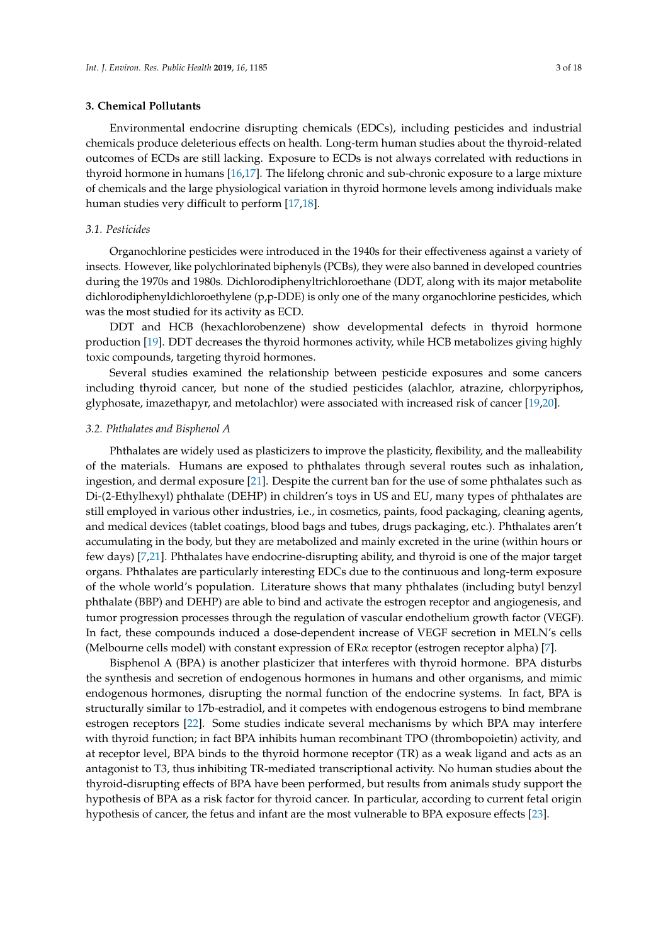# **3. Chemical Pollutants**

Environmental endocrine disrupting chemicals (EDCs), including pesticides and industrial chemicals produce deleterious effects on health. Long-term human studies about the thyroid-related outcomes of ECDs are still lacking. Exposure to ECDs is not always correlated with reductions in thyroid hormone in humans [\[16](#page-13-3)[,17\]](#page-13-4). The lifelong chronic and sub-chronic exposure to a large mixture of chemicals and the large physiological variation in thyroid hormone levels among individuals make human studies very difficult to perform [\[17,](#page-13-4)[18\]](#page-13-5).

# *3.1. Pesticides*

Organochlorine pesticides were introduced in the 1940s for their effectiveness against a variety of insects. However, like polychlorinated biphenyls (PCBs), they were also banned in developed countries during the 1970s and 1980s. Dichlorodiphenyltrichloroethane (DDT, along with its major metabolite dichlorodiphenyldichloroethylene (p,p-DDE) is only one of the many organochlorine pesticides, which was the most studied for its activity as ECD.

DDT and HCB (hexachlorobenzene) show developmental defects in thyroid hormone production [\[19\]](#page-13-6). DDT decreases the thyroid hormones activity, while HCB metabolizes giving highly toxic compounds, targeting thyroid hormones.

Several studies examined the relationship between pesticide exposures and some cancers including thyroid cancer, but none of the studied pesticides (alachlor, atrazine, chlorpyriphos, glyphosate, imazethapyr, and metolachlor) were associated with increased risk of cancer [\[19,](#page-13-6)[20\]](#page-13-7).

#### *3.2. Phthalates and Bisphenol A*

Phthalates are widely used as plasticizers to improve the plasticity, flexibility, and the malleability of the materials. Humans are exposed to phthalates through several routes such as inhalation, ingestion, and dermal exposure [\[21\]](#page-13-8). Despite the current ban for the use of some phthalates such as Di-(2-Ethylhexyl) phthalate (DEHP) in children's toys in US and EU, many types of phthalates are still employed in various other industries, i.e., in cosmetics, paints, food packaging, cleaning agents, and medical devices (tablet coatings, blood bags and tubes, drugs packaging, etc.). Phthalates aren't accumulating in the body, but they are metabolized and mainly excreted in the urine (within hours or few days) [\[7,](#page-12-5)[21\]](#page-13-8). Phthalates have endocrine-disrupting ability, and thyroid is one of the major target organs. Phthalates are particularly interesting EDCs due to the continuous and long-term exposure of the whole world's population. Literature shows that many phthalates (including butyl benzyl phthalate (BBP) and DEHP) are able to bind and activate the estrogen receptor and angiogenesis, and tumor progression processes through the regulation of vascular endothelium growth factor (VEGF). In fact, these compounds induced a dose-dependent increase of VEGF secretion in MELN's cells (Melbourne cells model) with constant expression of ERα receptor (estrogen receptor alpha) [\[7\]](#page-12-5).

Bisphenol A (BPA) is another plasticizer that interferes with thyroid hormone. BPA disturbs the synthesis and secretion of endogenous hormones in humans and other organisms, and mimic endogenous hormones, disrupting the normal function of the endocrine systems. In fact, BPA is structurally similar to 17b-estradiol, and it competes with endogenous estrogens to bind membrane estrogen receptors [\[22\]](#page-13-9). Some studies indicate several mechanisms by which BPA may interfere with thyroid function; in fact BPA inhibits human recombinant TPO (thrombopoietin) activity, and at receptor level, BPA binds to the thyroid hormone receptor (TR) as a weak ligand and acts as an antagonist to T3, thus inhibiting TR-mediated transcriptional activity. No human studies about the thyroid-disrupting effects of BPA have been performed, but results from animals study support the hypothesis of BPA as a risk factor for thyroid cancer. In particular, according to current fetal origin hypothesis of cancer, the fetus and infant are the most vulnerable to BPA exposure effects [\[23\]](#page-13-10).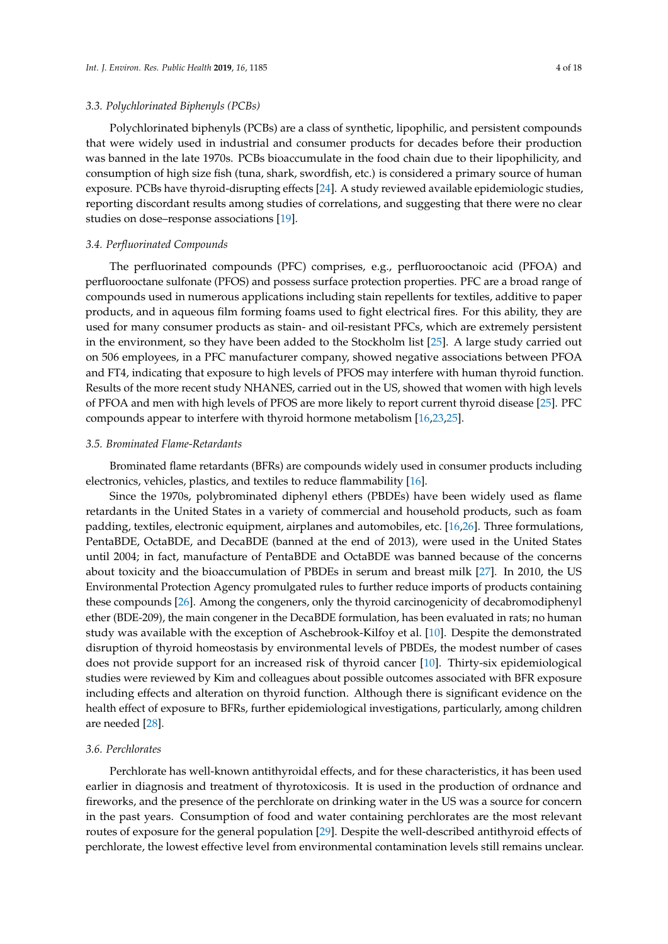#### *3.3. Polychlorinated Biphenyls (PCBs)*

Polychlorinated biphenyls (PCBs) are a class of synthetic, lipophilic, and persistent compounds that were widely used in industrial and consumer products for decades before their production was banned in the late 1970s. PCBs bioaccumulate in the food chain due to their lipophilicity, and consumption of high size fish (tuna, shark, swordfish, etc.) is considered a primary source of human exposure. PCBs have thyroid-disrupting effects [\[24\]](#page-13-11). A study reviewed available epidemiologic studies, reporting discordant results among studies of correlations, and suggesting that there were no clear studies on dose–response associations [\[19\]](#page-13-6).

# *3.4. Perfluorinated Compounds*

The perfluorinated compounds (PFC) comprises, e.g., perfluorooctanoic acid (PFOA) and perfluorooctane sulfonate (PFOS) and possess surface protection properties. PFC are a broad range of compounds used in numerous applications including stain repellents for textiles, additive to paper products, and in aqueous film forming foams used to fight electrical fires. For this ability, they are used for many consumer products as stain- and oil-resistant PFCs, which are extremely persistent in the environment, so they have been added to the Stockholm list [\[25\]](#page-13-12). A large study carried out on 506 employees, in a PFC manufacturer company, showed negative associations between PFOA and FT4, indicating that exposure to high levels of PFOS may interfere with human thyroid function. Results of the more recent study NHANES, carried out in the US, showed that women with high levels of PFOA and men with high levels of PFOS are more likely to report current thyroid disease [\[25\]](#page-13-12). PFC compounds appear to interfere with thyroid hormone metabolism [\[16,](#page-13-3)[23,](#page-13-10)[25\]](#page-13-12).

# *3.5. Brominated Flame-Retardants*

Brominated flame retardants (BFRs) are compounds widely used in consumer products including electronics, vehicles, plastics, and textiles to reduce flammability [\[16\]](#page-13-3).

Since the 1970s, polybrominated diphenyl ethers (PBDEs) have been widely used as flame retardants in the United States in a variety of commercial and household products, such as foam padding, textiles, electronic equipment, airplanes and automobiles, etc. [\[16](#page-13-3)[,26\]](#page-13-13). Three formulations, PentaBDE, OctaBDE, and DecaBDE (banned at the end of 2013), were used in the United States until 2004; in fact, manufacture of PentaBDE and OctaBDE was banned because of the concerns about toxicity and the bioaccumulation of PBDEs in serum and breast milk [\[27\]](#page-13-14). In 2010, the US Environmental Protection Agency promulgated rules to further reduce imports of products containing these compounds [\[26\]](#page-13-13). Among the congeners, only the thyroid carcinogenicity of decabromodiphenyl ether (BDE-209), the main congener in the DecaBDE formulation, has been evaluated in rats; no human study was available with the exception of Aschebrook-Kilfoy et al. [\[10\]](#page-12-2). Despite the demonstrated disruption of thyroid homeostasis by environmental levels of PBDEs, the modest number of cases does not provide support for an increased risk of thyroid cancer [\[10\]](#page-12-2). Thirty-six epidemiological studies were reviewed by Kim and colleagues about possible outcomes associated with BFR exposure including effects and alteration on thyroid function. Although there is significant evidence on the health effect of exposure to BFRs, further epidemiological investigations, particularly, among children are needed [\[28\]](#page-13-15).

# *3.6. Perchlorates*

Perchlorate has well-known antithyroidal effects, and for these characteristics, it has been used earlier in diagnosis and treatment of thyrotoxicosis. It is used in the production of ordnance and fireworks, and the presence of the perchlorate on drinking water in the US was a source for concern in the past years. Consumption of food and water containing perchlorates are the most relevant routes of exposure for the general population [\[29\]](#page-13-16). Despite the well-described antithyroid effects of perchlorate, the lowest effective level from environmental contamination levels still remains unclear.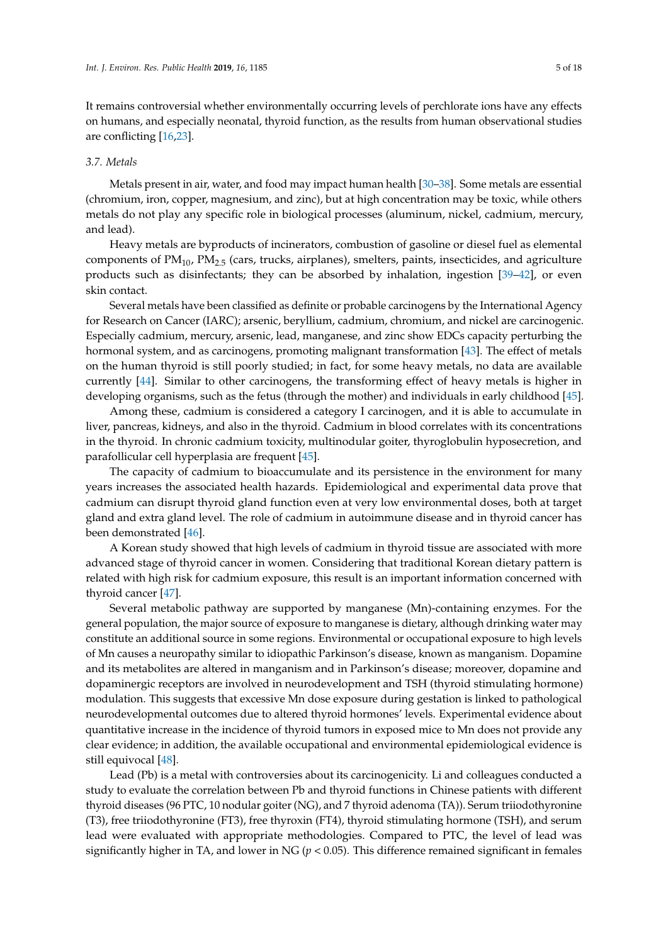It remains controversial whether environmentally occurring levels of perchlorate ions have any effects on humans, and especially neonatal, thyroid function, as the results from human observational studies are conflicting [\[16](#page-13-3)[,23\]](#page-13-10).

#### *3.7. Metals*

Metals present in air, water, and food may impact human health [\[30](#page-13-17)[–38\]](#page-14-0). Some metals are essential (chromium, iron, copper, magnesium, and zinc), but at high concentration may be toxic, while others metals do not play any specific role in biological processes (aluminum, nickel, cadmium, mercury, and lead).

Heavy metals are byproducts of incinerators, combustion of gasoline or diesel fuel as elemental components of  $PM_{10}$ ,  $PM_{2.5}$  (cars, trucks, airplanes), smelters, paints, insecticides, and agriculture products such as disinfectants; they can be absorbed by inhalation, ingestion [\[39](#page-14-1)[–42\]](#page-14-2), or even skin contact.

Several metals have been classified as definite or probable carcinogens by the International Agency for Research on Cancer (IARC); arsenic, beryllium, cadmium, chromium, and nickel are carcinogenic. Especially cadmium, mercury, arsenic, lead, manganese, and zinc show EDCs capacity perturbing the hormonal system, and as carcinogens, promoting malignant transformation [\[43\]](#page-14-3). The effect of metals on the human thyroid is still poorly studied; in fact, for some heavy metals, no data are available currently [\[44\]](#page-14-4). Similar to other carcinogens, the transforming effect of heavy metals is higher in developing organisms, such as the fetus (through the mother) and individuals in early childhood [\[45\]](#page-14-5).

Among these, cadmium is considered a category I carcinogen, and it is able to accumulate in liver, pancreas, kidneys, and also in the thyroid. Cadmium in blood correlates with its concentrations in the thyroid. In chronic cadmium toxicity, multinodular goiter, thyroglobulin hyposecretion, and parafollicular cell hyperplasia are frequent [\[45\]](#page-14-5).

The capacity of cadmium to bioaccumulate and its persistence in the environment for many years increases the associated health hazards. Epidemiological and experimental data prove that cadmium can disrupt thyroid gland function even at very low environmental doses, both at target gland and extra gland level. The role of cadmium in autoimmune disease and in thyroid cancer has been demonstrated [\[46\]](#page-14-6).

A Korean study showed that high levels of cadmium in thyroid tissue are associated with more advanced stage of thyroid cancer in women. Considering that traditional Korean dietary pattern is related with high risk for cadmium exposure, this result is an important information concerned with thyroid cancer [\[47\]](#page-14-7).

Several metabolic pathway are supported by manganese (Mn)-containing enzymes. For the general population, the major source of exposure to manganese is dietary, although drinking water may constitute an additional source in some regions. Environmental or occupational exposure to high levels of Mn causes a neuropathy similar to idiopathic Parkinson's disease, known as manganism. Dopamine and its metabolites are altered in manganism and in Parkinson's disease; moreover, dopamine and dopaminergic receptors are involved in neurodevelopment and TSH (thyroid stimulating hormone) modulation. This suggests that excessive Mn dose exposure during gestation is linked to pathological neurodevelopmental outcomes due to altered thyroid hormones' levels. Experimental evidence about quantitative increase in the incidence of thyroid tumors in exposed mice to Mn does not provide any clear evidence; in addition, the available occupational and environmental epidemiological evidence is still equivocal [\[48\]](#page-14-8).

Lead (Pb) is a metal with controversies about its carcinogenicity. Li and colleagues conducted a study to evaluate the correlation between Pb and thyroid functions in Chinese patients with different thyroid diseases (96 PTC, 10 nodular goiter (NG), and 7 thyroid adenoma (TA)). Serum triiodothyronine (T3), free triiodothyronine (FT3), free thyroxin (FT4), thyroid stimulating hormone (TSH), and serum lead were evaluated with appropriate methodologies. Compared to PTC, the level of lead was significantly higher in TA, and lower in NG ( $p < 0.05$ ). This difference remained significant in females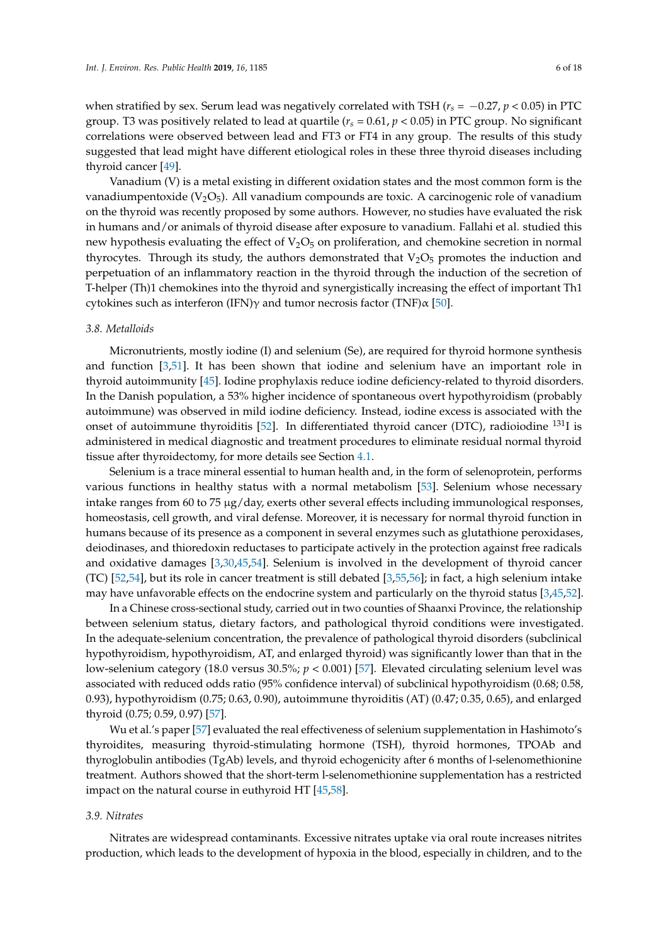when stratified by sex. Serum lead was negatively correlated with TSH (*r<sup>s</sup>* = −0.27, *p* < 0.05) in PTC group. T3 was positively related to lead at quartile (*r<sup>s</sup>* = 0.61, *p* < 0.05) in PTC group. No significant correlations were observed between lead and FT3 or FT4 in any group. The results of this study suggested that lead might have different etiological roles in these three thyroid diseases including thyroid cancer [\[49\]](#page-14-9).

Vanadium (V) is a metal existing in different oxidation states and the most common form is the vanadiumpentoxide ( $V_2O_5$ ). All vanadium compounds are toxic. A carcinogenic role of vanadium on the thyroid was recently proposed by some authors. However, no studies have evaluated the risk in humans and/or animals of thyroid disease after exposure to vanadium. Fallahi et al. studied this new hypothesis evaluating the effect of  $V_2O_5$  on proliferation, and chemokine secretion in normal thyrocytes. Through its study, the authors demonstrated that  $V_2O_5$  promotes the induction and perpetuation of an inflammatory reaction in the thyroid through the induction of the secretion of T-helper (Th)1 chemokines into the thyroid and synergistically increasing the effect of important Th1 cytokines such as interferon (IFN)γ and tumor necrosis factor (TNF) $\alpha$  [\[50\]](#page-14-10).

#### *3.8. Metalloids*

Micronutrients, mostly iodine (I) and selenium (Se), are required for thyroid hormone synthesis and function [\[3](#page-12-6)[,51\]](#page-14-11). It has been shown that iodine and selenium have an important role in thyroid autoimmunity [\[45\]](#page-14-5). Iodine prophylaxis reduce iodine deficiency-related to thyroid disorders. In the Danish population, a 53% higher incidence of spontaneous overt hypothyroidism (probably autoimmune) was observed in mild iodine deficiency. Instead, iodine excess is associated with the onset of autoimmune thyroiditis [\[52\]](#page-14-12). In differentiated thyroid cancer (DTC), radioiodine <sup>131</sup>I is administered in medical diagnostic and treatment procedures to eliminate residual normal thyroid tissue after thyroidectomy, for more details see Section [4.1.](#page-7-0)

Selenium is a trace mineral essential to human health and, in the form of selenoprotein, performs various functions in healthy status with a normal metabolism [\[53\]](#page-14-13). Selenium whose necessary intake ranges from 60 to 75  $\mu$ g/day, exerts other several effects including immunological responses, homeostasis, cell growth, and viral defense. Moreover, it is necessary for normal thyroid function in humans because of its presence as a component in several enzymes such as glutathione peroxidases, deiodinases, and thioredoxin reductases to participate actively in the protection against free radicals and oxidative damages [\[3](#page-12-6)[,30](#page-13-17)[,45](#page-14-5)[,54\]](#page-15-0). Selenium is involved in the development of thyroid cancer (TC) [\[52](#page-14-12)[,54\]](#page-15-0), but its role in cancer treatment is still debated [\[3](#page-12-6)[,55](#page-15-1)[,56\]](#page-15-2); in fact, a high selenium intake may have unfavorable effects on the endocrine system and particularly on the thyroid status [\[3,](#page-12-6)[45,](#page-14-5)[52\]](#page-14-12).

In a Chinese cross-sectional study, carried out in two counties of Shaanxi Province, the relationship between selenium status, dietary factors, and pathological thyroid conditions were investigated. In the adequate-selenium concentration, the prevalence of pathological thyroid disorders (subclinical hypothyroidism, hypothyroidism, AT, and enlarged thyroid) was significantly lower than that in the low-selenium category (18.0 versus 30.5%; *p* < 0.001) [\[57\]](#page-15-3). Elevated circulating selenium level was associated with reduced odds ratio (95% confidence interval) of subclinical hypothyroidism (0.68; 0.58, 0.93), hypothyroidism (0.75; 0.63, 0.90), autoimmune thyroiditis (AT) (0.47; 0.35, 0.65), and enlarged thyroid (0.75; 0.59, 0.97) [\[57\]](#page-15-3).

Wu et al.'s paper [\[57\]](#page-15-3) evaluated the real effectiveness of selenium supplementation in Hashimoto's thyroidites, measuring thyroid-stimulating hormone (TSH), thyroid hormones, TPOAb and thyroglobulin antibodies (TgAb) levels, and thyroid echogenicity after 6 months of l-selenomethionine treatment. Authors showed that the short-term l-selenomethionine supplementation has a restricted impact on the natural course in euthyroid HT [\[45](#page-14-5)[,58\]](#page-15-4).

# *3.9. Nitrates*

Nitrates are widespread contaminants. Excessive nitrates uptake via oral route increases nitrites production, which leads to the development of hypoxia in the blood, especially in children, and to the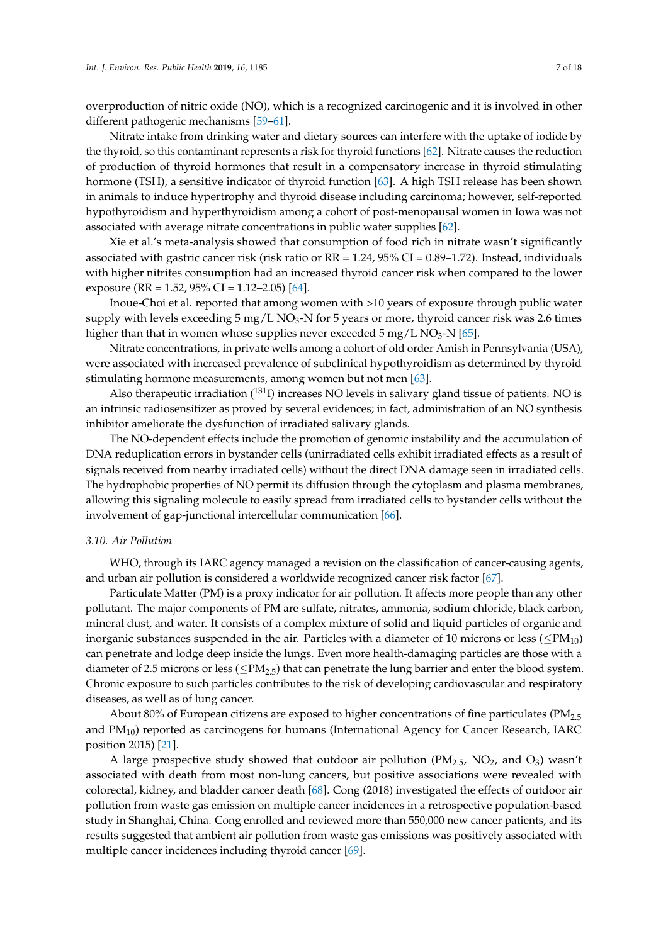overproduction of nitric oxide (NO), which is a recognized carcinogenic and it is involved in other different pathogenic mechanisms [\[59–](#page-15-5)[61\]](#page-15-6).

Nitrate intake from drinking water and dietary sources can interfere with the uptake of iodide by the thyroid, so this contaminant represents a risk for thyroid functions [\[62\]](#page-15-7). Nitrate causes the reduction of production of thyroid hormones that result in a compensatory increase in thyroid stimulating hormone (TSH), a sensitive indicator of thyroid function [\[63\]](#page-15-8). A high TSH release has been shown in animals to induce hypertrophy and thyroid disease including carcinoma; however, self-reported hypothyroidism and hyperthyroidism among a cohort of post-menopausal women in Iowa was not associated with average nitrate concentrations in public water supplies [\[62\]](#page-15-7).

Xie et al.'s meta-analysis showed that consumption of food rich in nitrate wasn't significantly associated with gastric cancer risk (risk ratio or RR = 1.24, 95% CI = 0.89–1.72). Instead, individuals with higher nitrites consumption had an increased thyroid cancer risk when compared to the lower exposure (RR = 1.52, 95% CI = 1.12–2.05) [\[64\]](#page-15-9).

Inoue-Choi et al. reported that among women with >10 years of exposure through public water supply with levels exceeding 5 mg/L NO<sub>3</sub>-N for 5 years or more, thyroid cancer risk was 2.6 times higher than that in women whose supplies never exceeded  $5 \text{ mg/L NO}_3\text{-N}$  [\[65\]](#page-15-10).

Nitrate concentrations, in private wells among a cohort of old order Amish in Pennsylvania (USA), were associated with increased prevalence of subclinical hypothyroidism as determined by thyroid stimulating hormone measurements, among women but not men [\[63\]](#page-15-8).

Also therapeutic irradiation  $(^{131}I)$  increases NO levels in salivary gland tissue of patients. NO is an intrinsic radiosensitizer as proved by several evidences; in fact, administration of an NO synthesis inhibitor ameliorate the dysfunction of irradiated salivary glands.

The NO-dependent effects include the promotion of genomic instability and the accumulation of DNA reduplication errors in bystander cells (unirradiated cells exhibit irradiated effects as a result of signals received from nearby irradiated cells) without the direct DNA damage seen in irradiated cells. The hydrophobic properties of NO permit its diffusion through the cytoplasm and plasma membranes, allowing this signaling molecule to easily spread from irradiated cells to bystander cells without the involvement of gap-junctional intercellular communication [\[66\]](#page-15-11).

#### *3.10. Air Pollution*

WHO, through its IARC agency managed a revision on the classification of cancer-causing agents, and urban air pollution is considered a worldwide recognized cancer risk factor [\[67\]](#page-15-12).

Particulate Matter (PM) is a proxy indicator for air pollution. It affects more people than any other pollutant. The major components of PM are sulfate, nitrates, ammonia, sodium chloride, black carbon, mineral dust, and water. It consists of a complex mixture of solid and liquid particles of organic and inorganic substances suspended in the air. Particles with a diameter of 10 microns or less ( $\leq PM_{10}$ ) can penetrate and lodge deep inside the lungs. Even more health-damaging particles are those with a diameter of 2.5 microns or less ( $\leq PM_{2.5}$ ) that can penetrate the lung barrier and enter the blood system. Chronic exposure to such particles contributes to the risk of developing cardiovascular and respiratory diseases, as well as of lung cancer.

About 80% of European citizens are exposed to higher concentrations of fine particulates (PM<sub>2.5</sub>) and  $PM_{10}$ ) reported as carcinogens for humans (International Agency for Cancer Research, IARC position 2015) [\[21\]](#page-13-8).

A large prospective study showed that outdoor air pollution  $(PM_{2.5}$ , NO<sub>2</sub>, and O<sub>3</sub>) wasn't associated with death from most non-lung cancers, but positive associations were revealed with colorectal, kidney, and bladder cancer death [\[68\]](#page-15-13). Cong (2018) investigated the effects of outdoor air pollution from waste gas emission on multiple cancer incidences in a retrospective population-based study in Shanghai, China. Cong enrolled and reviewed more than 550,000 new cancer patients, and its results suggested that ambient air pollution from waste gas emissions was positively associated with multiple cancer incidences including thyroid cancer [\[69\]](#page-15-14).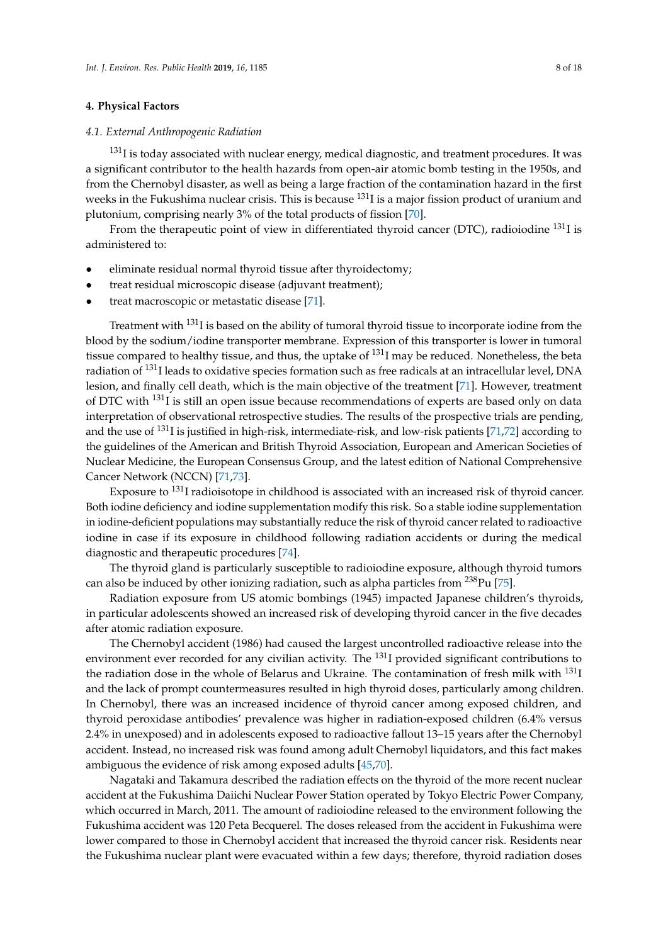# **4. Physical Factors**

# <span id="page-7-0"></span>*4.1. External Anthropogenic Radiation*

 $131$ I is today associated with nuclear energy, medical diagnostic, and treatment procedures. It was a significant contributor to the health hazards from open-air atomic bomb testing in the 1950s, and from the Chernobyl disaster, as well as being a large fraction of the contamination hazard in the first weeks in the Fukushima nuclear crisis. This is because <sup>131</sup>I is a major fission product of uranium and plutonium, comprising nearly 3% of the total products of fission [\[70\]](#page-15-15).

From the therapeutic point of view in differentiated thyroid cancer (DTC), radioiodine <sup>131</sup>I is administered to:

- eliminate residual normal thyroid tissue after thyroidectomy;
- treat residual microscopic disease (adjuvant treatment);
- treat macroscopic or metastatic disease [\[71\]](#page-15-16).

Treatment with <sup>131</sup>I is based on the ability of tumoral thyroid tissue to incorporate iodine from the blood by the sodium/iodine transporter membrane. Expression of this transporter is lower in tumoral tissue compared to healthy tissue, and thus, the uptake of  $^{131}$ I may be reduced. Nonetheless, the beta radiation of <sup>131</sup>I leads to oxidative species formation such as free radicals at an intracellular level, DNA lesion, and finally cell death, which is the main objective of the treatment [\[71\]](#page-15-16). However, treatment of DTC with <sup>131</sup>I is still an open issue because recommendations of experts are based only on data interpretation of observational retrospective studies. The results of the prospective trials are pending, and the use of <sup>131</sup>I is justified in high-risk, intermediate-risk, and low-risk patients [\[71](#page-15-16)[,72\]](#page-15-17) according to the guidelines of the American and British Thyroid Association, European and American Societies of Nuclear Medicine, the European Consensus Group, and the latest edition of National Comprehensive Cancer Network (NCCN) [\[71,](#page-15-16)[73\]](#page-16-0).

Exposure to <sup>131</sup>I radioisotope in childhood is associated with an increased risk of thyroid cancer. Both iodine deficiency and iodine supplementation modify this risk. So a stable iodine supplementation in iodine-deficient populations may substantially reduce the risk of thyroid cancer related to radioactive iodine in case if its exposure in childhood following radiation accidents or during the medical diagnostic and therapeutic procedures [\[74\]](#page-16-1).

The thyroid gland is particularly susceptible to radioiodine exposure, although thyroid tumors can also be induced by other ionizing radiation, such as alpha particles from  $^{238}$ Pu [\[75\]](#page-16-2).

Radiation exposure from US atomic bombings (1945) impacted Japanese children's thyroids, in particular adolescents showed an increased risk of developing thyroid cancer in the five decades after atomic radiation exposure.

The Chernobyl accident (1986) had caused the largest uncontrolled radioactive release into the environment ever recorded for any civilian activity. The <sup>131</sup>I provided significant contributions to the radiation dose in the whole of Belarus and Ukraine. The contamination of fresh milk with <sup>131</sup>I and the lack of prompt countermeasures resulted in high thyroid doses, particularly among children. In Chernobyl, there was an increased incidence of thyroid cancer among exposed children, and thyroid peroxidase antibodies' prevalence was higher in radiation-exposed children (6.4% versus 2.4% in unexposed) and in adolescents exposed to radioactive fallout 13–15 years after the Chernobyl accident. Instead, no increased risk was found among adult Chernobyl liquidators, and this fact makes ambiguous the evidence of risk among exposed adults [\[45](#page-14-5)[,70\]](#page-15-15).

Nagataki and Takamura described the radiation effects on the thyroid of the more recent nuclear accident at the Fukushima Daiichi Nuclear Power Station operated by Tokyo Electric Power Company, which occurred in March, 2011. The amount of radioiodine released to the environment following the Fukushima accident was 120 Peta Becquerel. The doses released from the accident in Fukushima were lower compared to those in Chernobyl accident that increased the thyroid cancer risk. Residents near the Fukushima nuclear plant were evacuated within a few days; therefore, thyroid radiation doses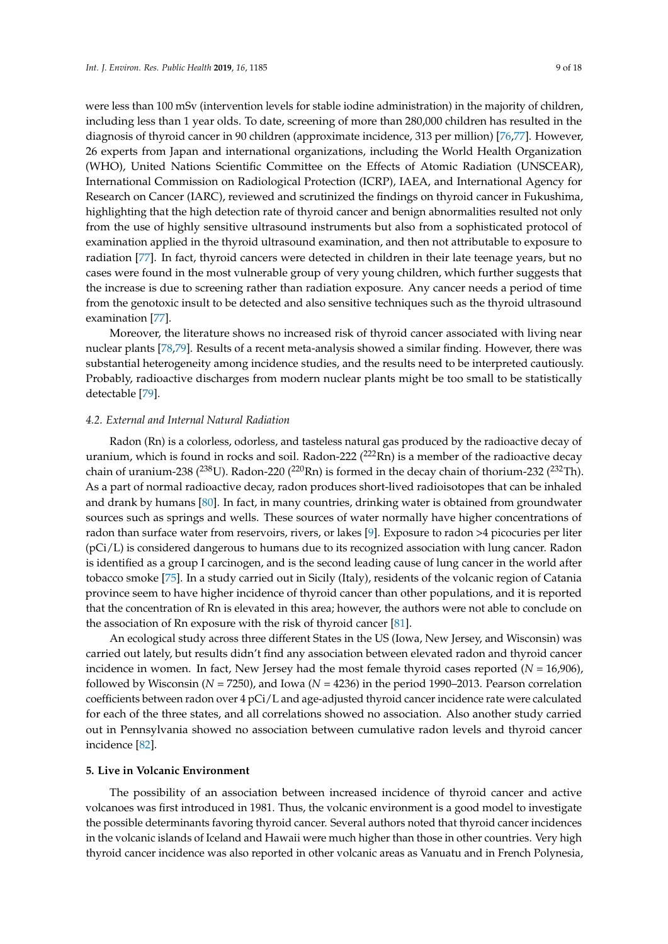were less than 100 mSv (intervention levels for stable iodine administration) in the majority of children, including less than 1 year olds. To date, screening of more than 280,000 children has resulted in the diagnosis of thyroid cancer in 90 children (approximate incidence, 313 per million) [\[76,](#page-16-3)[77\]](#page-16-4). However, 26 experts from Japan and international organizations, including the World Health Organization (WHO), United Nations Scientific Committee on the Effects of Atomic Radiation (UNSCEAR), International Commission on Radiological Protection (ICRP), IAEA, and International Agency for Research on Cancer (IARC), reviewed and scrutinized the findings on thyroid cancer in Fukushima, highlighting that the high detection rate of thyroid cancer and benign abnormalities resulted not only from the use of highly sensitive ultrasound instruments but also from a sophisticated protocol of examination applied in the thyroid ultrasound examination, and then not attributable to exposure to radiation [\[77\]](#page-16-4). In fact, thyroid cancers were detected in children in their late teenage years, but no cases were found in the most vulnerable group of very young children, which further suggests that the increase is due to screening rather than radiation exposure. Any cancer needs a period of time from the genotoxic insult to be detected and also sensitive techniques such as the thyroid ultrasound examination [\[77\]](#page-16-4).

Moreover, the literature shows no increased risk of thyroid cancer associated with living near nuclear plants [\[78,](#page-16-5)[79\]](#page-16-6). Results of a recent meta-analysis showed a similar finding. However, there was substantial heterogeneity among incidence studies, and the results need to be interpreted cautiously. Probably, radioactive discharges from modern nuclear plants might be too small to be statistically detectable [\[79\]](#page-16-6).

#### *4.2. External and Internal Natural Radiation*

Radon (Rn) is a colorless, odorless, and tasteless natural gas produced by the radioactive decay of uranium, which is found in rocks and soil. Radon-222  $(^{222}Rn)$  is a member of the radioactive decay chain of uranium-238 ( $^{238}$ U). Radon-220 ( $^{220}$ Rn) is formed in the decay chain of thorium-232 ( $^{232}$ Th). As a part of normal radioactive decay, radon produces short-lived radioisotopes that can be inhaled and drank by humans [\[80\]](#page-16-7). In fact, in many countries, drinking water is obtained from groundwater sources such as springs and wells. These sources of water normally have higher concentrations of radon than surface water from reservoirs, rivers, or lakes [\[9\]](#page-12-1). Exposure to radon >4 picocuries per liter (pCi/L) is considered dangerous to humans due to its recognized association with lung cancer. Radon is identified as a group I carcinogen, and is the second leading cause of lung cancer in the world after tobacco smoke [\[75\]](#page-16-2). In a study carried out in Sicily (Italy), residents of the volcanic region of Catania province seem to have higher incidence of thyroid cancer than other populations, and it is reported that the concentration of Rn is elevated in this area; however, the authors were not able to conclude on the association of Rn exposure with the risk of thyroid cancer [\[81\]](#page-16-8).

An ecological study across three different States in the US (Iowa, New Jersey, and Wisconsin) was carried out lately, but results didn't find any association between elevated radon and thyroid cancer incidence in women. In fact, New Jersey had the most female thyroid cases reported (*N* = 16,906), followed by Wisconsin (*N* = 7250), and Iowa (*N* = 4236) in the period 1990–2013. Pearson correlation coefficients between radon over 4 pCi/L and age-adjusted thyroid cancer incidence rate were calculated for each of the three states, and all correlations showed no association. Also another study carried out in Pennsylvania showed no association between cumulative radon levels and thyroid cancer incidence [\[82\]](#page-16-9).

# **5. Live in Volcanic Environment**

The possibility of an association between increased incidence of thyroid cancer and active volcanoes was first introduced in 1981. Thus, the volcanic environment is a good model to investigate the possible determinants favoring thyroid cancer. Several authors noted that thyroid cancer incidences in the volcanic islands of Iceland and Hawaii were much higher than those in other countries. Very high thyroid cancer incidence was also reported in other volcanic areas as Vanuatu and in French Polynesia,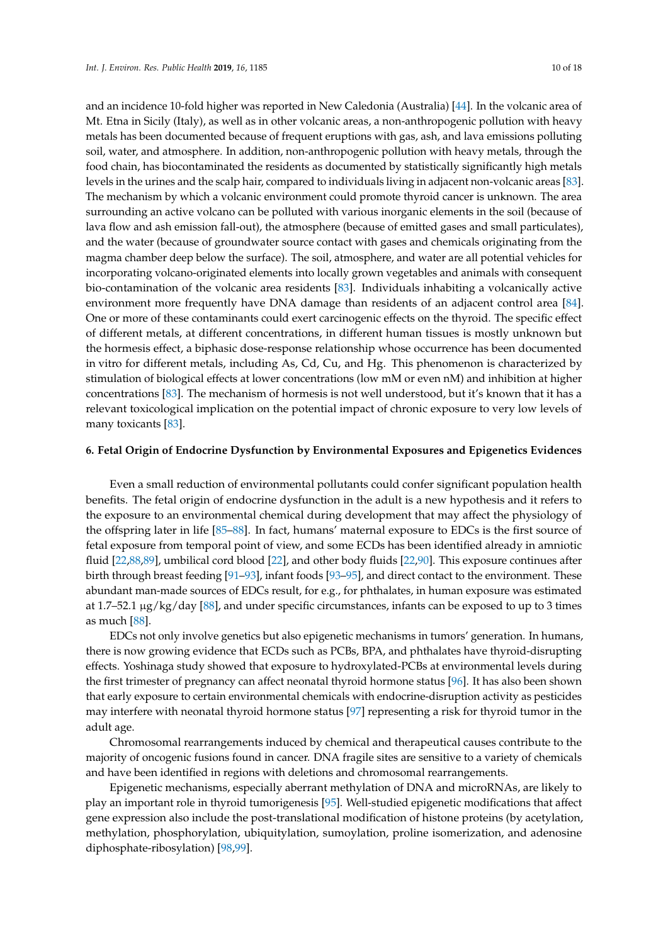and an incidence 10-fold higher was reported in New Caledonia (Australia) [\[44\]](#page-14-4). In the volcanic area of Mt. Etna in Sicily (Italy), as well as in other volcanic areas, a non-anthropogenic pollution with heavy metals has been documented because of frequent eruptions with gas, ash, and lava emissions polluting soil, water, and atmosphere. In addition, non-anthropogenic pollution with heavy metals, through the food chain, has biocontaminated the residents as documented by statistically significantly high metals levels in the urines and the scalp hair, compared to individuals living in adjacent non-volcanic areas [\[83\]](#page-16-10). The mechanism by which a volcanic environment could promote thyroid cancer is unknown. The area surrounding an active volcano can be polluted with various inorganic elements in the soil (because of lava flow and ash emission fall-out), the atmosphere (because of emitted gases and small particulates), and the water (because of groundwater source contact with gases and chemicals originating from the magma chamber deep below the surface). The soil, atmosphere, and water are all potential vehicles for incorporating volcano-originated elements into locally grown vegetables and animals with consequent bio-contamination of the volcanic area residents [\[83\]](#page-16-10). Individuals inhabiting a volcanically active environment more frequently have DNA damage than residents of an adjacent control area [\[84\]](#page-16-11). One or more of these contaminants could exert carcinogenic effects on the thyroid. The specific effect of different metals, at different concentrations, in different human tissues is mostly unknown but the hormesis effect, a biphasic dose-response relationship whose occurrence has been documented in vitro for different metals, including As, Cd, Cu, and Hg. This phenomenon is characterized by stimulation of biological effects at lower concentrations (low mM or even nM) and inhibition at higher concentrations [\[83\]](#page-16-10). The mechanism of hormesis is not well understood, but it's known that it has a relevant toxicological implication on the potential impact of chronic exposure to very low levels of many toxicants [\[83\]](#page-16-10).

# **6. Fetal Origin of Endocrine Dysfunction by Environmental Exposures and Epigenetics Evidences**

Even a small reduction of environmental pollutants could confer significant population health benefits. The fetal origin of endocrine dysfunction in the adult is a new hypothesis and it refers to the exposure to an environmental chemical during development that may affect the physiology of the offspring later in life [\[85–](#page-16-12)[88\]](#page-16-13). In fact, humans' maternal exposure to EDCs is the first source of fetal exposure from temporal point of view, and some ECDs has been identified already in amniotic fluid [\[22](#page-13-9)[,88](#page-16-13)[,89\]](#page-16-14), umbilical cord blood [\[22\]](#page-13-9), and other body fluids [\[22](#page-13-9)[,90\]](#page-16-15). This exposure continues after birth through breast feeding [\[91](#page-16-16)[–93\]](#page-17-0), infant foods [\[93–](#page-17-0)[95\]](#page-17-1), and direct contact to the environment. These abundant man-made sources of EDCs result, for e.g., for phthalates, in human exposure was estimated at 1.7–52.1 µg/kg/day [\[88\]](#page-16-13), and under specific circumstances, infants can be exposed to up to 3 times as much [\[88\]](#page-16-13).

EDCs not only involve genetics but also epigenetic mechanisms in tumors' generation. In humans, there is now growing evidence that ECDs such as PCBs, BPA, and phthalates have thyroid-disrupting effects. Yoshinaga study showed that exposure to hydroxylated-PCBs at environmental levels during the first trimester of pregnancy can affect neonatal thyroid hormone status [\[96\]](#page-17-2). It has also been shown that early exposure to certain environmental chemicals with endocrine-disruption activity as pesticides may interfere with neonatal thyroid hormone status [\[97\]](#page-17-3) representing a risk for thyroid tumor in the adult age.

Chromosomal rearrangements induced by chemical and therapeutical causes contribute to the majority of oncogenic fusions found in cancer. DNA fragile sites are sensitive to a variety of chemicals and have been identified in regions with deletions and chromosomal rearrangements.

Epigenetic mechanisms, especially aberrant methylation of DNA and microRNAs, are likely to play an important role in thyroid tumorigenesis [\[95\]](#page-17-1). Well-studied epigenetic modifications that affect gene expression also include the post-translational modification of histone proteins (by acetylation, methylation, phosphorylation, ubiquitylation, sumoylation, proline isomerization, and adenosine diphosphate-ribosylation) [\[98](#page-17-4)[,99\]](#page-17-5).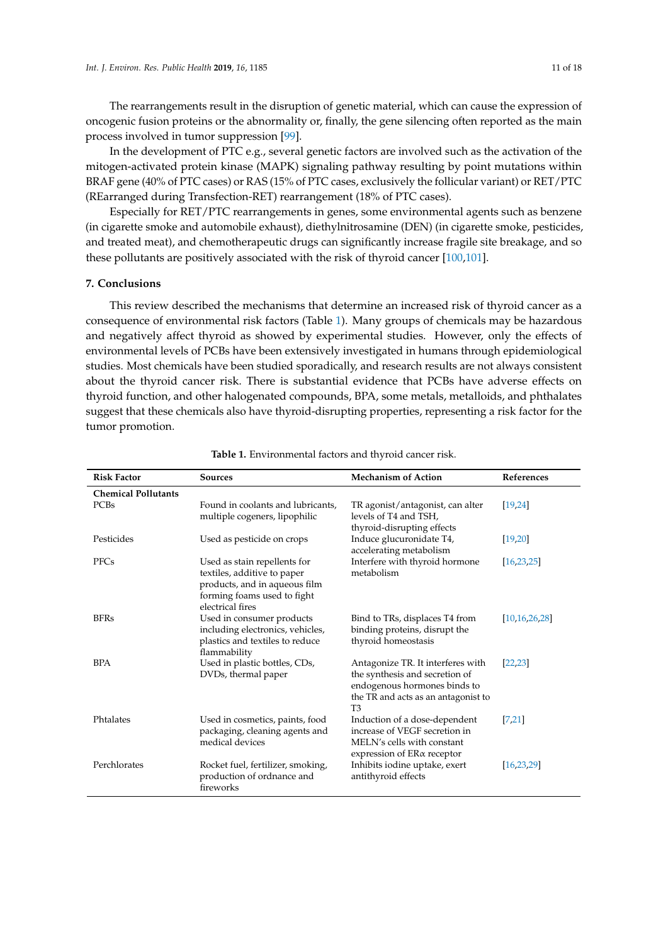The rearrangements result in the disruption of genetic material, which can cause the expression of oncogenic fusion proteins or the abnormality or, finally, the gene silencing often reported as the main process involved in tumor suppression [\[99\]](#page-17-5).

In the development of PTC e.g., several genetic factors are involved such as the activation of the mitogen-activated protein kinase (MAPK) signaling pathway resulting by point mutations within BRAF gene (40% of PTC cases) or RAS (15% of PTC cases, exclusively the follicular variant) or RET/PTC (REarranged during Transfection-RET) rearrangement (18% of PTC cases).

Especially for RET/PTC rearrangements in genes, some environmental agents such as benzene (in cigarette smoke and automobile exhaust), diethylnitrosamine (DEN) (in cigarette smoke, pesticides, and treated meat), and chemotherapeutic drugs can significantly increase fragile site breakage, and so these pollutants are positively associated with the risk of thyroid cancer [\[100,](#page-17-6)[101\]](#page-17-7).

# **7. Conclusions**

This review described the mechanisms that determine an increased risk of thyroid cancer as a consequence of environmental risk factors (Table [1\)](#page-11-0). Many groups of chemicals may be hazardous and negatively affect thyroid as showed by experimental studies. However, only the effects of environmental levels of PCBs have been extensively investigated in humans through epidemiological studies. Most chemicals have been studied sporadically, and research results are not always consistent about the thyroid cancer risk. There is substantial evidence that PCBs have adverse effects on thyroid function, and other halogenated compounds, BPA, some metals, metalloids, and phthalates suggest that these chemicals also have thyroid-disrupting properties, representing a risk factor for the tumor promotion.

| <b>Risk Factor</b>         | <b>Sources</b>                                                                                                                                  | <b>Mechanism of Action</b>                                                                                                                                   | <b>References</b> |
|----------------------------|-------------------------------------------------------------------------------------------------------------------------------------------------|--------------------------------------------------------------------------------------------------------------------------------------------------------------|-------------------|
| <b>Chemical Pollutants</b> |                                                                                                                                                 |                                                                                                                                                              |                   |
| PCBs                       | Found in coolants and lubricants,<br>multiple cogeners, lipophilic                                                                              | TR agonist/antagonist, can alter<br>levels of T4 and TSH,<br>thyroid-disrupting effects                                                                      | [19, 24]          |
| Pesticides                 | Used as pesticide on crops                                                                                                                      | Induce glucuronidate T4,<br>accelerating metabolism                                                                                                          | [19, 20]          |
| <b>PFCs</b>                | Used as stain repellents for<br>textiles, additive to paper<br>products, and in aqueous film<br>forming foams used to fight<br>electrical fires | Interfere with thyroid hormone<br>metabolism                                                                                                                 | [16, 23, 25]      |
| <b>BFRs</b>                | Used in consumer products<br>including electronics, vehicles,<br>plastics and textiles to reduce<br>flammability                                | Bind to TRs, displaces T4 from<br>binding proteins, disrupt the<br>thyroid homeostasis                                                                       | [10, 16, 26, 28]  |
| <b>BPA</b>                 | Used in plastic bottles, CDs,<br>DVDs, thermal paper                                                                                            | Antagonize TR. It interferes with<br>the synthesis and secretion of<br>endogenous hormones binds to<br>the TR and acts as an antagonist to<br>T <sub>3</sub> | [22, 23]          |
| Phtalates                  | Used in cosmetics, paints, food<br>packaging, cleaning agents and<br>medical devices                                                            | Induction of a dose-dependent<br>increase of VEGF secretion in<br>MELN's cells with constant<br>expression of ER <sub>a</sub> receptor                       | 7,21              |
| Perchlorates               | Rocket fuel, fertilizer, smoking,<br>production of ordnance and<br>fireworks                                                                    | Inhibits iodine uptake, exert<br>antithyroid effects                                                                                                         | [16, 23, 29]      |

**Table 1.** Environmental factors and thyroid cancer risk.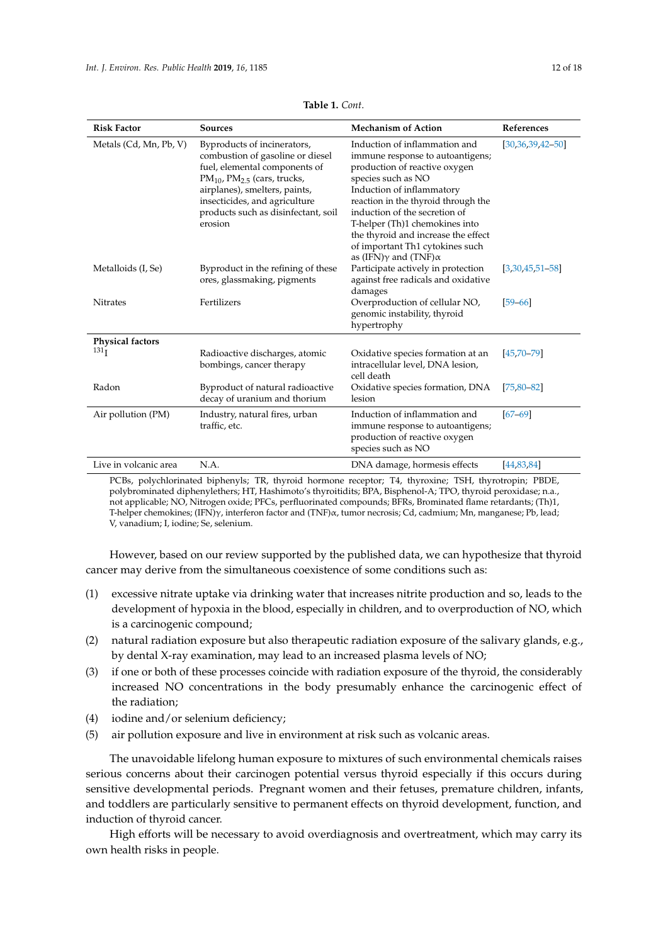<span id="page-11-0"></span>

| <b>Risk Factor</b>      | <b>Sources</b>                                                                                                                                                                                                                                                | <b>Mechanism of Action</b>                                                                                                                                                                                                                                                                                                                                                        | References         |
|-------------------------|---------------------------------------------------------------------------------------------------------------------------------------------------------------------------------------------------------------------------------------------------------------|-----------------------------------------------------------------------------------------------------------------------------------------------------------------------------------------------------------------------------------------------------------------------------------------------------------------------------------------------------------------------------------|--------------------|
| Metals (Cd, Mn, Pb, V)  | Byproducts of incinerators,<br>combustion of gasoline or diesel<br>fuel, elemental components of<br>$PM_{10}$ , $PM_{2.5}$ (cars, trucks,<br>airplanes), smelters, paints,<br>insecticides, and agriculture<br>products such as disinfectant, soil<br>erosion | Induction of inflammation and<br>immune response to autoantigens;<br>production of reactive oxygen<br>species such as NO<br>Induction of inflammatory<br>reaction in the thyroid through the<br>induction of the secretion of<br>T-helper (Th)1 chemokines into<br>the thyroid and increase the effect<br>of important Th1 cytokines such<br>as (IFN) $\gamma$ and (TNF) $\alpha$ | $[30,36,39,42-50]$ |
| Metalloids (I, Se)      | Byproduct in the refining of these<br>ores, glassmaking, pigments                                                                                                                                                                                             | Participate actively in protection<br>against free radicals and oxidative<br>damages                                                                                                                                                                                                                                                                                              | $[3,30,45,51-58]$  |
| <b>Nitrates</b>         | Fertilizers                                                                                                                                                                                                                                                   | Overproduction of cellular NO,<br>genomic instability, thyroid<br>hypertrophy                                                                                                                                                                                                                                                                                                     | $[59 - 66]$        |
| <b>Physical factors</b> |                                                                                                                                                                                                                                                               |                                                                                                                                                                                                                                                                                                                                                                                   |                    |
| 131 <sub>I</sub>        | Radioactive discharges, atomic<br>bombings, cancer therapy                                                                                                                                                                                                    | Oxidative species formation at an<br>intracellular level, DNA lesion,<br>cell death                                                                                                                                                                                                                                                                                               | $[45,70-79]$       |
| Radon                   | Byproduct of natural radioactive<br>decay of uranium and thorium                                                                                                                                                                                              | Oxidative species formation, DNA<br>lesion                                                                                                                                                                                                                                                                                                                                        | $[75, 80 - 82]$    |
| Air pollution (PM)      | Industry, natural fires, urban<br>traffic, etc.                                                                                                                                                                                                               | Induction of inflammation and<br>immune response to autoantigens;<br>production of reactive oxygen<br>species such as NO                                                                                                                                                                                                                                                          | $[67 - 69]$        |
| Live in volcanic area   | N.A.                                                                                                                                                                                                                                                          | DNA damage, hormesis effects                                                                                                                                                                                                                                                                                                                                                      | [44,83,84]         |

**Table 1.** *Cont*.

PCBs, polychlorinated biphenyls; TR, thyroid hormone receptor; T4, thyroxine; TSH, thyrotropin; PBDE, polybrominated diphenylethers; HT, Hashimoto's thyroitidits; BPA, Bisphenol-A; TPO, thyroid peroxidase; n.a., not applicable; NO, Nitrogen oxide; PFCs, perfluorinated compounds; BFRs, Brominated flame retardants; (Th)1, T-helper chemokines; (IFN)γ, interferon factor and (TNF)α, tumor necrosis; Cd, cadmium; Mn, manganese; Pb, lead; V, vanadium; I, iodine; Se, selenium.

However, based on our review supported by the published data, we can hypothesize that thyroid cancer may derive from the simultaneous coexistence of some conditions such as:

- (1) excessive nitrate uptake via drinking water that increases nitrite production and so, leads to the development of hypoxia in the blood, especially in children, and to overproduction of NO, which is a carcinogenic compound;
- (2) natural radiation exposure but also therapeutic radiation exposure of the salivary glands, e.g., by dental X-ray examination, may lead to an increased plasma levels of NO;
- (3) if one or both of these processes coincide with radiation exposure of the thyroid, the considerably increased NO concentrations in the body presumably enhance the carcinogenic effect of the radiation;
- (4) iodine and/or selenium deficiency;
- (5) air pollution exposure and live in environment at risk such as volcanic areas.

The unavoidable lifelong human exposure to mixtures of such environmental chemicals raises serious concerns about their carcinogen potential versus thyroid especially if this occurs during sensitive developmental periods. Pregnant women and their fetuses, premature children, infants, and toddlers are particularly sensitive to permanent effects on thyroid development, function, and induction of thyroid cancer.

High efforts will be necessary to avoid overdiagnosis and overtreatment, which may carry its own health risks in people.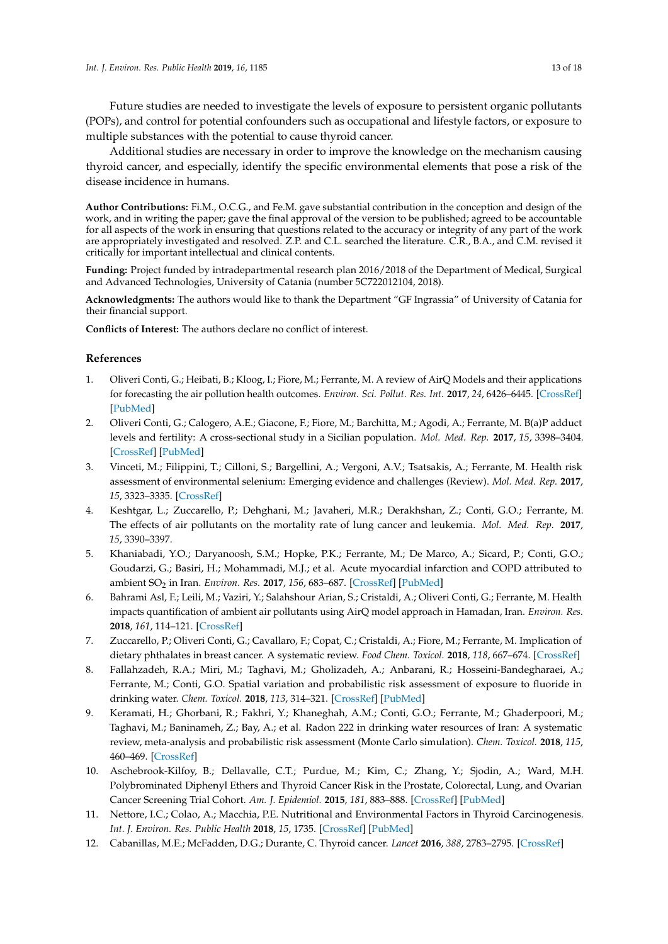Future studies are needed to investigate the levels of exposure to persistent organic pollutants (POPs), and control for potential confounders such as occupational and lifestyle factors, or exposure to multiple substances with the potential to cause thyroid cancer.

Additional studies are necessary in order to improve the knowledge on the mechanism causing thyroid cancer, and especially, identify the specific environmental elements that pose a risk of the disease incidence in humans.

**Author Contributions:** Fi.M., O.C.G., and Fe.M. gave substantial contribution in the conception and design of the work, and in writing the paper; gave the final approval of the version to be published; agreed to be accountable for all aspects of the work in ensuring that questions related to the accuracy or integrity of any part of the work are appropriately investigated and resolved. Z.P. and C.L. searched the literature. C.R., B.A., and C.M. revised it critically for important intellectual and clinical contents.

**Funding:** Project funded by intradepartmental research plan 2016/2018 of the Department of Medical, Surgical and Advanced Technologies, University of Catania (number 5C722012104, 2018).

**Acknowledgments:** The authors would like to thank the Department "GF Ingrassia" of University of Catania for their financial support.

**Conflicts of Interest:** The authors declare no conflict of interest.

# **References**

- <span id="page-12-0"></span>1. Oliveri Conti, G.; Heibati, B.; Kloog, I.; Fiore, M.; Ferrante, M. A review of AirQ Models and their applications for forecasting the air pollution health outcomes. *Environ. Sci. Pollut. Res. Int.* **2017**, *24*, 6426–6445. [\[CrossRef\]](http://dx.doi.org/10.1007/s11356-016-8180-1) [\[PubMed\]](http://www.ncbi.nlm.nih.gov/pubmed/28054264)
- 2. Oliveri Conti, G.; Calogero, A.E.; Giacone, F.; Fiore, M.; Barchitta, M.; Agodi, A.; Ferrante, M. B(a)P adduct levels and fertility: A cross-sectional study in a Sicilian population. *Mol. Med. Rep.* **2017**, *15*, 3398–3404. [\[CrossRef\]](http://dx.doi.org/10.3892/mmr.2017.6396) [\[PubMed\]](http://www.ncbi.nlm.nih.gov/pubmed/28350051)
- <span id="page-12-6"></span>3. Vinceti, M.; Filippini, T.; Cilloni, S.; Bargellini, A.; Vergoni, A.V.; Tsatsakis, A.; Ferrante, M. Health risk assessment of environmental selenium: Emerging evidence and challenges (Review). *Mol. Med. Rep.* **2017**, *15*, 3323–3335. [\[CrossRef\]](http://dx.doi.org/10.3892/mmr.2017.6377)
- 4. Keshtgar, L.; Zuccarello, P.; Dehghani, M.; Javaheri, M.R.; Derakhshan, Z.; Conti, G.O.; Ferrante, M. The effects of air pollutants on the mortality rate of lung cancer and leukemia. *Mol. Med. Rep.* **2017**, *15*, 3390–3397.
- 5. Khaniabadi, Y.O.; Daryanoosh, S.M.; Hopke, P.K.; Ferrante, M.; De Marco, A.; Sicard, P.; Conti, G.O.; Goudarzi, G.; Basiri, H.; Mohammadi, M.J.; et al. Acute myocardial infarction and COPD attributed to ambient SO<sup>2</sup> in Iran. *Environ. Res.* **2017**, *156*, 683–687. [\[CrossRef\]](http://dx.doi.org/10.1016/j.envres.2017.04.028) [\[PubMed\]](http://www.ncbi.nlm.nih.gov/pubmed/28477578)
- 6. Bahrami Asl, F.; Leili, M.; Vaziri, Y.; Salahshour Arian, S.; Cristaldi, A.; Oliveri Conti, G.; Ferrante, M. Health impacts quantification of ambient air pollutants using AirQ model approach in Hamadan, Iran. *Environ. Res.* **2018**, *161*, 114–121. [\[CrossRef\]](http://dx.doi.org/10.1016/j.envres.2017.10.050)
- <span id="page-12-5"></span>7. Zuccarello, P.; Oliveri Conti, G.; Cavallaro, F.; Copat, C.; Cristaldi, A.; Fiore, M.; Ferrante, M. Implication of dietary phthalates in breast cancer. A systematic review. *Food Chem. Toxicol.* **2018**, *118*, 667–674. [\[CrossRef\]](http://dx.doi.org/10.1016/j.fct.2018.06.011)
- 8. Fallahzadeh, R.A.; Miri, M.; Taghavi, M.; Gholizadeh, A.; Anbarani, R.; Hosseini-Bandegharaei, A.; Ferrante, M.; Conti, G.O. Spatial variation and probabilistic risk assessment of exposure to fluoride in drinking water. *Chem. Toxicol.* **2018**, *113*, 314–321. [\[CrossRef\]](http://dx.doi.org/10.1016/j.fct.2018.02.001) [\[PubMed\]](http://www.ncbi.nlm.nih.gov/pubmed/29425933)
- <span id="page-12-1"></span>9. Keramati, H.; Ghorbani, R.; Fakhri, Y.; Khaneghah, A.M.; Conti, G.O.; Ferrante, M.; Ghaderpoori, M.; Taghavi, M.; Baninameh, Z.; Bay, A.; et al. Radon 222 in drinking water resources of Iran: A systematic review, meta-analysis and probabilistic risk assessment (Monte Carlo simulation). *Chem. Toxicol.* **2018**, *115*, 460–469. [\[CrossRef\]](http://dx.doi.org/10.1016/j.fct.2018.03.042)
- <span id="page-12-2"></span>10. Aschebrook-Kilfoy, B.; Dellavalle, C.T.; Purdue, M.; Kim, C.; Zhang, Y.; Sjodin, A.; Ward, M.H. Polybrominated Diphenyl Ethers and Thyroid Cancer Risk in the Prostate, Colorectal, Lung, and Ovarian Cancer Screening Trial Cohort. *Am. J. Epidemiol.* **2015**, *181*, 883–888. [\[CrossRef\]](http://dx.doi.org/10.1093/aje/kwu358) [\[PubMed\]](http://www.ncbi.nlm.nih.gov/pubmed/25939348)
- <span id="page-12-3"></span>11. Nettore, I.C.; Colao, A.; Macchia, P.E. Nutritional and Environmental Factors in Thyroid Carcinogenesis. *Int. J. Environ. Res. Public Health* **2018**, *15*, 1735. [\[CrossRef\]](http://dx.doi.org/10.3390/ijerph15081735) [\[PubMed\]](http://www.ncbi.nlm.nih.gov/pubmed/30104523)
- <span id="page-12-4"></span>12. Cabanillas, M.E.; McFadden, D.G.; Durante, C. Thyroid cancer. *Lancet* **2016**, *388*, 2783–2795. [\[CrossRef\]](http://dx.doi.org/10.1016/S0140-6736(16)30172-6)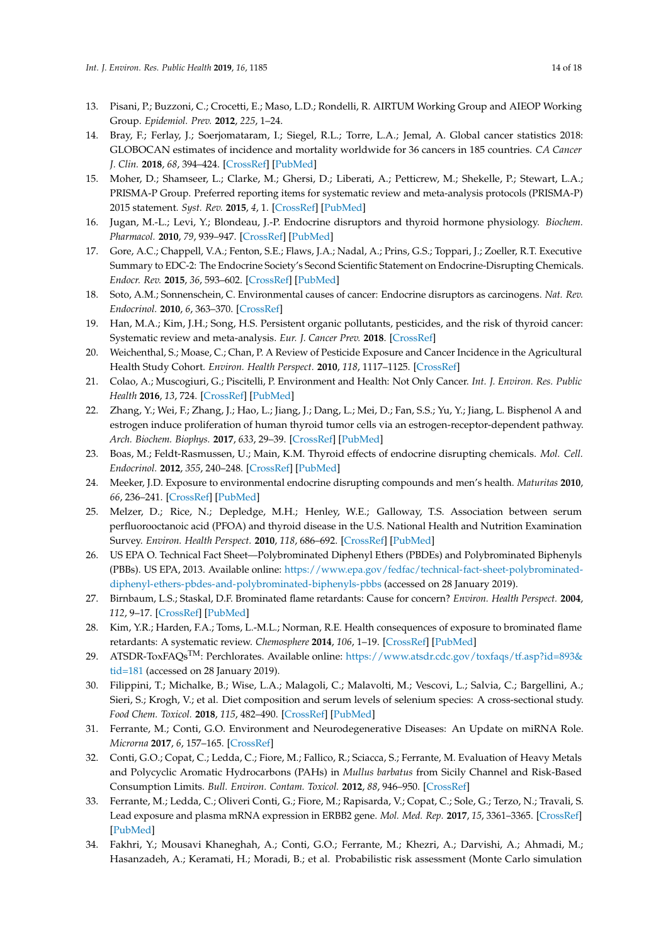- <span id="page-13-0"></span>13. Pisani, P.; Buzzoni, C.; Crocetti, E.; Maso, L.D.; Rondelli, R. AIRTUM Working Group and AIEOP Working Group. *Epidemiol. Prev.* **2012**, *225*, 1–24.
- <span id="page-13-1"></span>14. Bray, F.; Ferlay, J.; Soerjomataram, I.; Siegel, R.L.; Torre, L.A.; Jemal, A. Global cancer statistics 2018: GLOBOCAN estimates of incidence and mortality worldwide for 36 cancers in 185 countries. *CA Cancer J. Clin.* **2018**, *68*, 394–424. [\[CrossRef\]](http://dx.doi.org/10.3322/caac.21492) [\[PubMed\]](http://www.ncbi.nlm.nih.gov/pubmed/30207593)
- <span id="page-13-2"></span>15. Moher, D.; Shamseer, L.; Clarke, M.; Ghersi, D.; Liberati, A.; Petticrew, M.; Shekelle, P.; Stewart, L.A.; PRISMA-P Group. Preferred reporting items for systematic review and meta-analysis protocols (PRISMA-P) 2015 statement. *Syst. Rev.* **2015**, *4*, 1. [\[CrossRef\]](http://dx.doi.org/10.1186/2046-4053-4-1) [\[PubMed\]](http://www.ncbi.nlm.nih.gov/pubmed/25554246)
- <span id="page-13-3"></span>16. Jugan, M.-L.; Levi, Y.; Blondeau, J.-P. Endocrine disruptors and thyroid hormone physiology. *Biochem. Pharmacol.* **2010**, *79*, 939–947. [\[CrossRef\]](http://dx.doi.org/10.1016/j.bcp.2009.11.006) [\[PubMed\]](http://www.ncbi.nlm.nih.gov/pubmed/19913515)
- <span id="page-13-4"></span>17. Gore, A.C.; Chappell, V.A.; Fenton, S.E.; Flaws, J.A.; Nadal, A.; Prins, G.S.; Toppari, J.; Zoeller, R.T. Executive Summary to EDC-2: The Endocrine Society's Second Scientific Statement on Endocrine-Disrupting Chemicals. *Endocr. Rev.* **2015**, *36*, 593–602. [\[CrossRef\]](http://dx.doi.org/10.1210/er.2015-1093) [\[PubMed\]](http://www.ncbi.nlm.nih.gov/pubmed/26414233)
- <span id="page-13-5"></span>18. Soto, A.M.; Sonnenschein, C. Environmental causes of cancer: Endocrine disruptors as carcinogens. *Nat. Rev. Endocrinol.* **2010**, *6*, 363–370. [\[CrossRef\]](http://dx.doi.org/10.1038/nrendo.2010.87)
- <span id="page-13-6"></span>19. Han, M.A.; Kim, J.H.; Song, H.S. Persistent organic pollutants, pesticides, and the risk of thyroid cancer: Systematic review and meta-analysis. *Eur. J. Cancer Prev.* **2018**. [\[CrossRef\]](http://dx.doi.org/10.1097/CEJ.0000000000000481)
- <span id="page-13-7"></span>20. Weichenthal, S.; Moase, C.; Chan, P. A Review of Pesticide Exposure and Cancer Incidence in the Agricultural Health Study Cohort. *Environ. Health Perspect.* **2010**, *118*, 1117–1125. [\[CrossRef\]](http://dx.doi.org/10.1289/ehp.0901731)
- <span id="page-13-8"></span>21. Colao, A.; Muscogiuri, G.; Piscitelli, P. Environment and Health: Not Only Cancer. *Int. J. Environ. Res. Public Health* **2016**, *13*, 724. [\[CrossRef\]](http://dx.doi.org/10.3390/ijerph13070724) [\[PubMed\]](http://www.ncbi.nlm.nih.gov/pubmed/27447654)
- <span id="page-13-9"></span>22. Zhang, Y.; Wei, F.; Zhang, J.; Hao, L.; Jiang, J.; Dang, L.; Mei, D.; Fan, S.S.; Yu, Y.; Jiang, L. Bisphenol A and estrogen induce proliferation of human thyroid tumor cells via an estrogen-receptor-dependent pathway. *Arch. Biochem. Biophys.* **2017**, *633*, 29–39. [\[CrossRef\]](http://dx.doi.org/10.1016/j.abb.2017.09.002) [\[PubMed\]](http://www.ncbi.nlm.nih.gov/pubmed/28882636)
- <span id="page-13-10"></span>23. Boas, M.; Feldt-Rasmussen, U.; Main, K.M. Thyroid effects of endocrine disrupting chemicals. *Mol. Cell. Endocrinol.* **2012**, *355*, 240–248. [\[CrossRef\]](http://dx.doi.org/10.1016/j.mce.2011.09.005) [\[PubMed\]](http://www.ncbi.nlm.nih.gov/pubmed/21939731)
- <span id="page-13-11"></span>24. Meeker, J.D. Exposure to environmental endocrine disrupting compounds and men's health. *Maturitas* **2010**, *66*, 236–241. [\[CrossRef\]](http://dx.doi.org/10.1016/j.maturitas.2010.03.001) [\[PubMed\]](http://www.ncbi.nlm.nih.gov/pubmed/20347536)
- <span id="page-13-12"></span>25. Melzer, D.; Rice, N.; Depledge, M.H.; Henley, W.E.; Galloway, T.S. Association between serum perfluorooctanoic acid (PFOA) and thyroid disease in the U.S. National Health and Nutrition Examination Survey. *Environ. Health Perspect.* **2010**, *118*, 686–692. [\[CrossRef\]](http://dx.doi.org/10.1289/ehp.0901584) [\[PubMed\]](http://www.ncbi.nlm.nih.gov/pubmed/20089479)
- <span id="page-13-13"></span>26. US EPA O. Technical Fact Sheet—Polybrominated Diphenyl Ethers (PBDEs) and Polybrominated Biphenyls (PBBs). US EPA, 2013. Available online: [https://www.epa.gov/fedfac/technical-fact-sheet-polybrominated](https://www.epa.gov/fedfac/technical-fact-sheet-polybrominated-diphenyl-ethers-pbdes-and-polybrominated-biphenyls-pbbs)[diphenyl-ethers-pbdes-and-polybrominated-biphenyls-pbbs](https://www.epa.gov/fedfac/technical-fact-sheet-polybrominated-diphenyl-ethers-pbdes-and-polybrominated-biphenyls-pbbs) (accessed on 28 January 2019).
- <span id="page-13-14"></span>27. Birnbaum, L.S.; Staskal, D.F. Brominated flame retardants: Cause for concern? *Environ. Health Perspect.* **2004**, *112*, 9–17. [\[CrossRef\]](http://dx.doi.org/10.1289/ehp.6559) [\[PubMed\]](http://www.ncbi.nlm.nih.gov/pubmed/14698924)
- <span id="page-13-15"></span>28. Kim, Y.R.; Harden, F.A.; Toms, L.-M.L.; Norman, R.E. Health consequences of exposure to brominated flame retardants: A systematic review. *Chemosphere* **2014**, *106*, 1–19. [\[CrossRef\]](http://dx.doi.org/10.1016/j.chemosphere.2013.12.064) [\[PubMed\]](http://www.ncbi.nlm.nih.gov/pubmed/24529398)
- <span id="page-13-16"></span>29. ATSDR-ToxFAQs<sup>TM</sup>: Perchlorates. Available online: [https://www.atsdr.cdc.gov/toxfaqs/tf.asp?id=893&](https://www.atsdr.cdc.gov/toxfaqs/tf.asp?id=893&tid=181) [tid=181](https://www.atsdr.cdc.gov/toxfaqs/tf.asp?id=893&tid=181) (accessed on 28 January 2019).
- <span id="page-13-17"></span>30. Filippini, T.; Michalke, B.; Wise, L.A.; Malagoli, C.; Malavolti, M.; Vescovi, L.; Salvia, C.; Bargellini, A.; Sieri, S.; Krogh, V.; et al. Diet composition and serum levels of selenium species: A cross-sectional study. *Food Chem. Toxicol.* **2018**, *115*, 482–490. [\[CrossRef\]](http://dx.doi.org/10.1016/j.fct.2018.03.048) [\[PubMed\]](http://www.ncbi.nlm.nih.gov/pubmed/29621579)
- 31. Ferrante, M.; Conti, G.O. Environment and Neurodegenerative Diseases: An Update on miRNA Role. *Microrna* **2017**, *6*, 157–165. [\[CrossRef\]](http://dx.doi.org/10.2174/2211536606666170811151503)
- 32. Conti, G.O.; Copat, C.; Ledda, C.; Fiore, M.; Fallico, R.; Sciacca, S.; Ferrante, M. Evaluation of Heavy Metals and Polycyclic Aromatic Hydrocarbons (PAHs) in *Mullus barbatus* from Sicily Channel and Risk-Based Consumption Limits. *Bull. Environ. Contam. Toxicol.* **2012**, *88*, 946–950. [\[CrossRef\]](http://dx.doi.org/10.1007/s00128-012-0611-1)
- 33. Ferrante, M.; Ledda, C.; Oliveri Conti, G.; Fiore, M.; Rapisarda, V.; Copat, C.; Sole, G.; Terzo, N.; Travali, S. Lead exposure and plasma mRNA expression in ERBB2 gene. *Mol. Med. Rep.* **2017**, *15*, 3361–3365. [\[CrossRef\]](http://dx.doi.org/10.3892/mmr.2017.6382) [\[PubMed\]](http://www.ncbi.nlm.nih.gov/pubmed/28339023)
- 34. Fakhri, Y.; Mousavi Khaneghah, A.; Conti, G.O.; Ferrante, M.; Khezri, A.; Darvishi, A.; Ahmadi, M.; Hasanzadeh, A.; Keramati, H.; Moradi, B.; et al. Probabilistic risk assessment (Monte Carlo simulation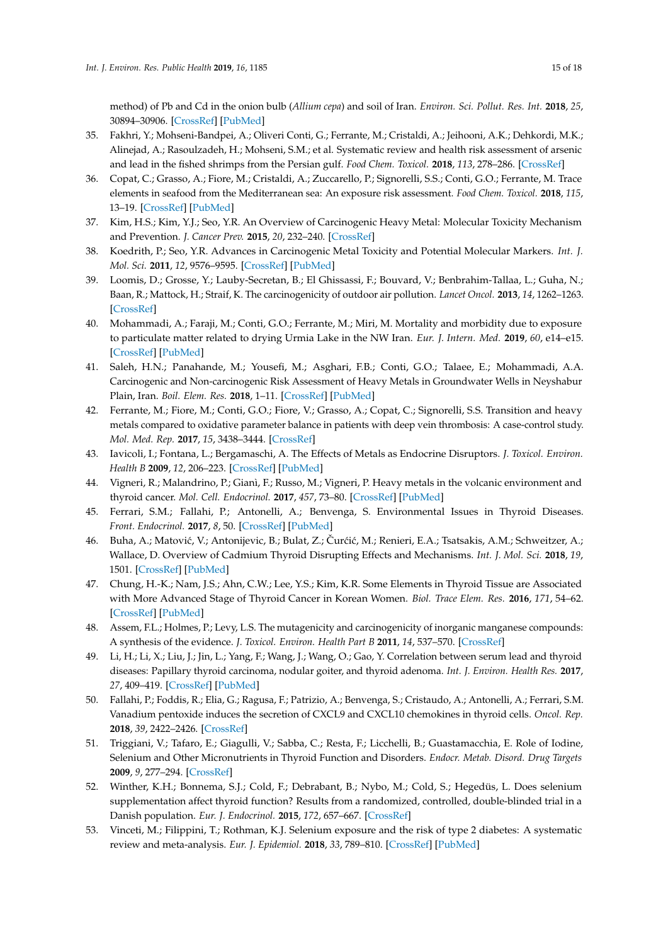method) of Pb and Cd in the onion bulb (*Allium cepa*) and soil of Iran. *Environ. Sci. Pollut. Res. Int.* **2018**, *25*, 30894–30906. [\[CrossRef\]](http://dx.doi.org/10.1007/s11356-018-3081-0) [\[PubMed\]](http://www.ncbi.nlm.nih.gov/pubmed/30178411)

- 35. Fakhri, Y.; Mohseni-Bandpei, A.; Oliveri Conti, G.; Ferrante, M.; Cristaldi, A.; Jeihooni, A.K.; Dehkordi, M.K.; Alinejad, A.; Rasoulzadeh, H.; Mohseni, S.M.; et al. Systematic review and health risk assessment of arsenic and lead in the fished shrimps from the Persian gulf. *Food Chem. Toxicol.* **2018**, *113*, 278–286. [\[CrossRef\]](http://dx.doi.org/10.1016/j.fct.2018.01.046)
- <span id="page-14-14"></span>36. Copat, C.; Grasso, A.; Fiore, M.; Cristaldi, A.; Zuccarello, P.; Signorelli, S.S.; Conti, G.O.; Ferrante, M. Trace elements in seafood from the Mediterranean sea: An exposure risk assessment. *Food Chem. Toxicol.* **2018**, *115*, 13–19. [\[CrossRef\]](http://dx.doi.org/10.1016/j.fct.2018.03.001) [\[PubMed\]](http://www.ncbi.nlm.nih.gov/pubmed/29510219)
- 37. Kim, H.S.; Kim, Y.J.; Seo, Y.R. An Overview of Carcinogenic Heavy Metal: Molecular Toxicity Mechanism and Prevention. *J. Cancer Prev.* **2015**, *20*, 232–240. [\[CrossRef\]](http://dx.doi.org/10.15430/JCP.2015.20.4.232)
- <span id="page-14-0"></span>38. Koedrith, P.; Seo, Y.R. Advances in Carcinogenic Metal Toxicity and Potential Molecular Markers. *Int. J. Mol. Sci.* **2011**, *12*, 9576–9595. [\[CrossRef\]](http://dx.doi.org/10.3390/ijms12129576) [\[PubMed\]](http://www.ncbi.nlm.nih.gov/pubmed/22272150)
- <span id="page-14-1"></span>39. Loomis, D.; Grosse, Y.; Lauby-Secretan, B.; El Ghissassi, F.; Bouvard, V.; Benbrahim-Tallaa, L.; Guha, N.; Baan, R.; Mattock, H.; Straif, K. The carcinogenicity of outdoor air pollution. *Lancet Oncol.* **2013**, *14*, 1262–1263. [\[CrossRef\]](http://dx.doi.org/10.1016/S1470-2045(13)70487-X)
- 40. Mohammadi, A.; Faraji, M.; Conti, G.O.; Ferrante, M.; Miri, M. Mortality and morbidity due to exposure to particulate matter related to drying Urmia Lake in the NW Iran. *Eur. J. Intern. Med.* **2019**, *60*, e14–e15. [\[CrossRef\]](http://dx.doi.org/10.1016/j.ejim.2018.10.001) [\[PubMed\]](http://www.ncbi.nlm.nih.gov/pubmed/30297251)
- 41. Saleh, H.N.; Panahande, M.; Yousefi, M.; Asghari, F.B.; Conti, G.O.; Talaee, E.; Mohammadi, A.A. Carcinogenic and Non-carcinogenic Risk Assessment of Heavy Metals in Groundwater Wells in Neyshabur Plain, Iran. *Boil. Elem. Res.* **2018**, 1–11. [\[CrossRef\]](http://dx.doi.org/10.1007/s12011-018-1516-6) [\[PubMed\]](http://www.ncbi.nlm.nih.gov/pubmed/30225757)
- <span id="page-14-2"></span>42. Ferrante, M.; Fiore, M.; Conti, G.O.; Fiore, V.; Grasso, A.; Copat, C.; Signorelli, S.S. Transition and heavy metals compared to oxidative parameter balance in patients with deep vein thrombosis: A case-control study. *Mol. Med. Rep.* **2017**, *15*, 3438–3444. [\[CrossRef\]](http://dx.doi.org/10.3892/mmr.2017.6394)
- <span id="page-14-3"></span>43. Iavicoli, I.; Fontana, L.; Bergamaschi, A. The Effects of Metals as Endocrine Disruptors. *J. Toxicol. Environ. Health B* **2009**, *12*, 206–223. [\[CrossRef\]](http://dx.doi.org/10.1080/10937400902902062) [\[PubMed\]](http://www.ncbi.nlm.nih.gov/pubmed/19466673)
- <span id="page-14-4"></span>44. Vigneri, R.; Malandrino, P.; Gianì, F.; Russo, M.; Vigneri, P. Heavy metals in the volcanic environment and thyroid cancer. *Mol. Cell. Endocrinol.* **2017**, *457*, 73–80. [\[CrossRef\]](http://dx.doi.org/10.1016/j.mce.2016.10.027) [\[PubMed\]](http://www.ncbi.nlm.nih.gov/pubmed/27794445)
- <span id="page-14-5"></span>45. Ferrari, S.M.; Fallahi, P.; Antonelli, A.; Benvenga, S. Environmental Issues in Thyroid Diseases. *Front. Endocrinol.* **2017**, *8*, 50. [\[CrossRef\]](http://dx.doi.org/10.3389/fendo.2017.00050) [\[PubMed\]](http://www.ncbi.nlm.nih.gov/pubmed/28373861)
- <span id="page-14-6"></span>46. Buha, A.; Matović, V.; Antonijevic, B.; Bulat, Z.; Čurćić, M.; Renieri, E.A.; Tsatsakis, A.M.; Schweitzer, A.; Wallace, D. Overview of Cadmium Thyroid Disrupting Effects and Mechanisms. *Int. J. Mol. Sci.* **2018**, *19*, 1501. [\[CrossRef\]](http://dx.doi.org/10.3390/ijms19051501) [\[PubMed\]](http://www.ncbi.nlm.nih.gov/pubmed/29772829)
- <span id="page-14-7"></span>47. Chung, H.-K.; Nam, J.S.; Ahn, C.W.; Lee, Y.S.; Kim, K.R. Some Elements in Thyroid Tissue are Associated with More Advanced Stage of Thyroid Cancer in Korean Women. *Biol. Trace Elem. Res.* **2016**, *171*, 54–62. [\[CrossRef\]](http://dx.doi.org/10.1007/s12011-015-0502-5) [\[PubMed\]](http://www.ncbi.nlm.nih.gov/pubmed/26419761)
- <span id="page-14-8"></span>48. Assem, F.L.; Holmes, P.; Levy, L.S. The mutagenicity and carcinogenicity of inorganic manganese compounds: A synthesis of the evidence. *J. Toxicol. Environ. Health Part B* **2011**, *14*, 537–570. [\[CrossRef\]](http://dx.doi.org/10.1080/10937404.2011.615111)
- <span id="page-14-9"></span>49. Li, H.; Li, X.; Liu, J.; Jin, L.; Yang, F.; Wang, J.; Wang, O.; Gao, Y. Correlation between serum lead and thyroid diseases: Papillary thyroid carcinoma, nodular goiter, and thyroid adenoma. *Int. J. Environ. Health Res.* **2017**, *27*, 409–419. [\[CrossRef\]](http://dx.doi.org/10.1080/09603123.2017.1373273) [\[PubMed\]](http://www.ncbi.nlm.nih.gov/pubmed/28891673)
- <span id="page-14-10"></span>50. Fallahi, P.; Foddis, R.; Elia, G.; Ragusa, F.; Patrizio, A.; Benvenga, S.; Cristaudo, A.; Antonelli, A.; Ferrari, S.M. Vanadium pentoxide induces the secretion of CXCL9 and CXCL10 chemokines in thyroid cells. *Oncol. Rep.* **2018**, *39*, 2422–2426. [\[CrossRef\]](http://dx.doi.org/10.3892/or.2018.6307)
- <span id="page-14-11"></span>51. Triggiani, V.; Tafaro, E.; Giagulli, V.; Sabba, C.; Resta, F.; Licchelli, B.; Guastamacchia, E. Role of Iodine, Selenium and Other Micronutrients in Thyroid Function and Disorders. *Endocr. Metab. Disord. Drug Targets* **2009**, *9*, 277–294. [\[CrossRef\]](http://dx.doi.org/10.2174/187153009789044392)
- <span id="page-14-12"></span>52. Winther, K.H.; Bonnema, S.J.; Cold, F.; Debrabant, B.; Nybo, M.; Cold, S.; Hegedüs, L. Does selenium supplementation affect thyroid function? Results from a randomized, controlled, double-blinded trial in a Danish population. *Eur. J. Endocrinol.* **2015**, *172*, 657–667. [\[CrossRef\]](http://dx.doi.org/10.1530/EJE-15-0069)
- <span id="page-14-13"></span>53. Vinceti, M.; Filippini, T.; Rothman, K.J. Selenium exposure and the risk of type 2 diabetes: A systematic review and meta-analysis. *Eur. J. Epidemiol.* **2018**, *33*, 789–810. [\[CrossRef\]](http://dx.doi.org/10.1007/s10654-018-0422-8) [\[PubMed\]](http://www.ncbi.nlm.nih.gov/pubmed/29974401)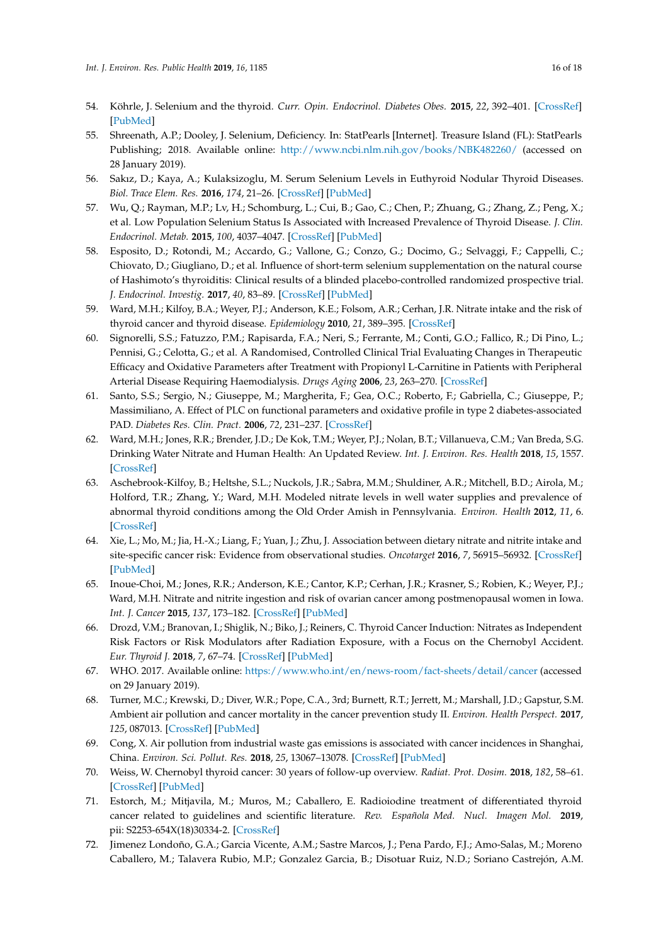- <span id="page-15-0"></span>54. Köhrle, J. Selenium and the thyroid. *Curr. Opin. Endocrinol. Diabetes Obes.* **2015**, *22*, 392–401. [\[CrossRef\]](http://dx.doi.org/10.1097/MED.0000000000000190) [\[PubMed\]](http://www.ncbi.nlm.nih.gov/pubmed/26313901)
- <span id="page-15-1"></span>55. Shreenath, A.P.; Dooley, J. Selenium, Deficiency. In: StatPearls [Internet]. Treasure Island (FL): StatPearls Publishing; 2018. Available online: <http://www.ncbi.nlm.nih.gov/books/NBK482260/> (accessed on 28 January 2019).
- <span id="page-15-2"></span>56. Sakız, D.; Kaya, A.; Kulaksizoglu, M. Serum Selenium Levels in Euthyroid Nodular Thyroid Diseases. *Biol. Trace Elem. Res.* **2016**, *174*, 21–26. [\[CrossRef\]](http://dx.doi.org/10.1007/s12011-016-0688-1) [\[PubMed\]](http://www.ncbi.nlm.nih.gov/pubmed/27052308)
- <span id="page-15-3"></span>57. Wu, Q.; Rayman, M.P.; Lv, H.; Schomburg, L.; Cui, B.; Gao, C.; Chen, P.; Zhuang, G.; Zhang, Z.; Peng, X.; et al. Low Population Selenium Status Is Associated with Increased Prevalence of Thyroid Disease. *J. Clin. Endocrinol. Metab.* **2015**, *100*, 4037–4047. [\[CrossRef\]](http://dx.doi.org/10.1210/jc.2015-2222) [\[PubMed\]](http://www.ncbi.nlm.nih.gov/pubmed/26305620)
- <span id="page-15-4"></span>58. Esposito, D.; Rotondi, M.; Accardo, G.; Vallone, G.; Conzo, G.; Docimo, G.; Selvaggi, F.; Cappelli, C.; Chiovato, D.; Giugliano, D.; et al. Influence of short-term selenium supplementation on the natural course of Hashimoto's thyroiditis: Clinical results of a blinded placebo-controlled randomized prospective trial. *J. Endocrinol. Investig.* **2017**, *40*, 83–89. [\[CrossRef\]](http://dx.doi.org/10.1007/s40618-016-0535-4) [\[PubMed\]](http://www.ncbi.nlm.nih.gov/pubmed/27572248)
- <span id="page-15-5"></span>59. Ward, M.H.; Kilfoy, B.A.; Weyer, P.J.; Anderson, K.E.; Folsom, A.R.; Cerhan, J.R. Nitrate intake and the risk of thyroid cancer and thyroid disease. *Epidemiology* **2010**, *21*, 389–395. [\[CrossRef\]](http://dx.doi.org/10.1097/EDE.0b013e3181d6201d)
- 60. Signorelli, S.S.; Fatuzzo, P.M.; Rapisarda, F.A.; Neri, S.; Ferrante, M.; Conti, G.O.; Fallico, R.; Di Pino, L.; Pennisi, G.; Celotta, G.; et al. A Randomised, Controlled Clinical Trial Evaluating Changes in Therapeutic Efficacy and Oxidative Parameters after Treatment with Propionyl L-Carnitine in Patients with Peripheral Arterial Disease Requiring Haemodialysis. *Drugs Aging* **2006**, *23*, 263–270. [\[CrossRef\]](http://dx.doi.org/10.2165/00002512-200623030-00008)
- <span id="page-15-6"></span>61. Santo, S.S.; Sergio, N.; Giuseppe, M.; Margherita, F.; Gea, O.C.; Roberto, F.; Gabriella, C.; Giuseppe, P.; Massimiliano, A. Effect of PLC on functional parameters and oxidative profile in type 2 diabetes-associated PAD. *Diabetes Res. Clin. Pract.* **2006**, *72*, 231–237. [\[CrossRef\]](http://dx.doi.org/10.1016/j.diabres.2005.10.007)
- <span id="page-15-7"></span>62. Ward, M.H.; Jones, R.R.; Brender, J.D.; De Kok, T.M.; Weyer, P.J.; Nolan, B.T.; Villanueva, C.M.; Van Breda, S.G. Drinking Water Nitrate and Human Health: An Updated Review. *Int. J. Environ. Res. Health* **2018**, *15*, 1557. [\[CrossRef\]](http://dx.doi.org/10.3390/ijerph15071557)
- <span id="page-15-8"></span>63. Aschebrook-Kilfoy, B.; Heltshe, S.L.; Nuckols, J.R.; Sabra, M.M.; Shuldiner, A.R.; Mitchell, B.D.; Airola, M.; Holford, T.R.; Zhang, Y.; Ward, M.H. Modeled nitrate levels in well water supplies and prevalence of abnormal thyroid conditions among the Old Order Amish in Pennsylvania. *Environ. Health* **2012**, *11*, 6. [\[CrossRef\]](http://dx.doi.org/10.1186/1476-069X-11-6)
- <span id="page-15-9"></span>64. Xie, L.; Mo, M.; Jia, H.-X.; Liang, F.; Yuan, J.; Zhu, J. Association between dietary nitrate and nitrite intake and site-specific cancer risk: Evidence from observational studies. *Oncotarget* **2016**, *7*, 56915–56932. [\[CrossRef\]](http://dx.doi.org/10.18632/oncotarget.10917) [\[PubMed\]](http://www.ncbi.nlm.nih.gov/pubmed/27486968)
- <span id="page-15-10"></span>65. Inoue-Choi, M.; Jones, R.R.; Anderson, K.E.; Cantor, K.P.; Cerhan, J.R.; Krasner, S.; Robien, K.; Weyer, P.J.; Ward, M.H. Nitrate and nitrite ingestion and risk of ovarian cancer among postmenopausal women in Iowa. *Int. J. Cancer* **2015**, *137*, 173–182. [\[CrossRef\]](http://dx.doi.org/10.1002/ijc.29365) [\[PubMed\]](http://www.ncbi.nlm.nih.gov/pubmed/25430487)
- <span id="page-15-11"></span>66. Drozd, V.M.; Branovan, I.; Shiglik, N.; Biko, J.; Reiners, C. Thyroid Cancer Induction: Nitrates as Independent Risk Factors or Risk Modulators after Radiation Exposure, with a Focus on the Chernobyl Accident. *Eur. Thyroid J.* **2018**, *7*, 67–74. [\[CrossRef\]](http://dx.doi.org/10.1159/000485971) [\[PubMed\]](http://www.ncbi.nlm.nih.gov/pubmed/29594057)
- <span id="page-15-12"></span>67. WHO. 2017. Available online: <https://www.who.int/en/news-room/fact-sheets/detail/cancer> (accessed on 29 January 2019).
- <span id="page-15-13"></span>68. Turner, M.C.; Krewski, D.; Diver, W.R.; Pope, C.A., 3rd; Burnett, R.T.; Jerrett, M.; Marshall, J.D.; Gapstur, S.M. Ambient air pollution and cancer mortality in the cancer prevention study II. *Environ. Health Perspect.* **2017**, *125*, 087013. [\[CrossRef\]](http://dx.doi.org/10.1289/EHP1249) [\[PubMed\]](http://www.ncbi.nlm.nih.gov/pubmed/28886601)
- <span id="page-15-14"></span>69. Cong, X. Air pollution from industrial waste gas emissions is associated with cancer incidences in Shanghai, China. *Environ. Sci. Pollut. Res.* **2018**, *25*, 13067–13078. [\[CrossRef\]](http://dx.doi.org/10.1007/s11356-018-1538-9) [\[PubMed\]](http://www.ncbi.nlm.nih.gov/pubmed/29484620)
- <span id="page-15-15"></span>70. Weiss, W. Chernobyl thyroid cancer: 30 years of follow-up overview. *Radiat. Prot. Dosim.* **2018**, *182*, 58–61. [\[CrossRef\]](http://dx.doi.org/10.1093/rpd/ncy147) [\[PubMed\]](http://www.ncbi.nlm.nih.gov/pubmed/30137557)
- <span id="page-15-16"></span>71. Estorch, M.; Mitjavila, M.; Muros, M.; Caballero, E. Radioiodine treatment of differentiated thyroid cancer related to guidelines and scientific literature. *Rev. Española Med. Nucl. Imagen Mol.* **2019**, pii: S2253-654X(18)30334-2. [\[CrossRef\]](http://dx.doi.org/10.1016/j.remnie.2018.12.004)
- <span id="page-15-17"></span>72. Jimenez Londoño, G.A.; Garcia Vicente, A.M.; Sastre Marcos, J.; Pena Pardo, F.J.; Amo-Salas, M.; Moreno Caballero, M.; Talavera Rubio, M.P.; Gonzalez Garcia, B.; Disotuar Ruiz, N.D.; Soriano Castrejón, A.M.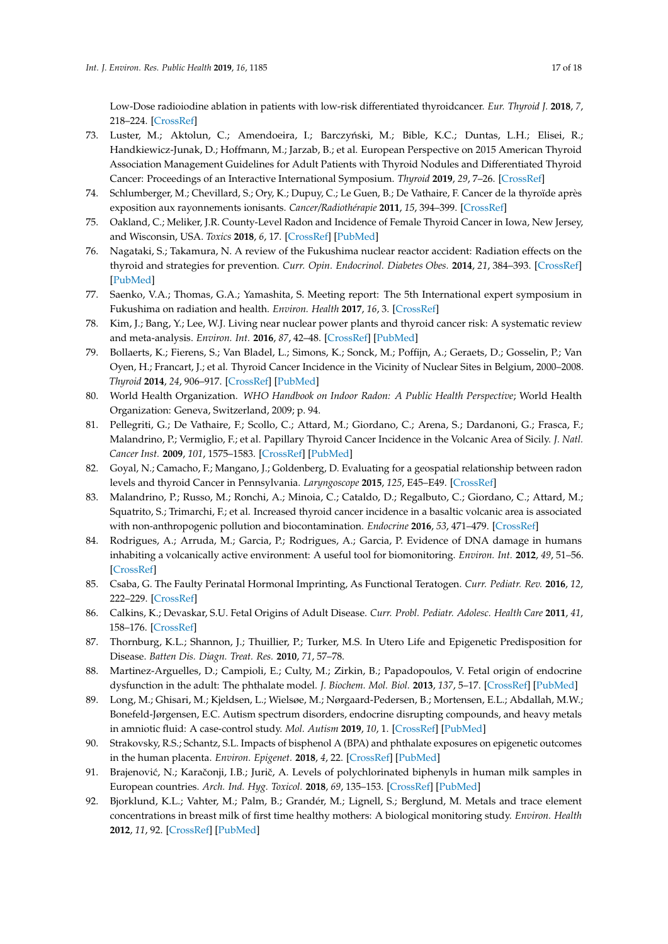Low-Dose radioiodine ablation in patients with low-risk differentiated thyroidcancer. *Eur. Thyroid J.* **2018**, *7*, 218–224. [\[CrossRef\]](http://dx.doi.org/10.1159/000489850)

- <span id="page-16-0"></span>73. Luster, M.; Aktolun, C.; Amendoeira, I.; Barczyński, M.; Bible, K.C.; Duntas, L.H.; Elisei, R.; Handkiewicz-Junak, D.; Hoffmann, M.; Jarzab, B.; et al. European Perspective on 2015 American Thyroid Association Management Guidelines for Adult Patients with Thyroid Nodules and Differentiated Thyroid Cancer: Proceedings of an Interactive International Symposium. *Thyroid* **2019**, *29*, 7–26. [\[CrossRef\]](http://dx.doi.org/10.1089/thy.2017.0129)
- <span id="page-16-1"></span>74. Schlumberger, M.; Chevillard, S.; Ory, K.; Dupuy, C.; Le Guen, B.; De Vathaire, F. Cancer de la thyroïde après exposition aux rayonnements ionisants. *Cancer/Radiothérapie* **2011**, *15*, 394–399. [\[CrossRef\]](http://dx.doi.org/10.1016/j.canrad.2011.05.002)
- <span id="page-16-2"></span>75. Oakland, C.; Meliker, J.R. County-Level Radon and Incidence of Female Thyroid Cancer in Iowa, New Jersey, and Wisconsin, USA. *Toxics* **2018**, *6*, 17. [\[CrossRef\]](http://dx.doi.org/10.3390/toxics6010017) [\[PubMed\]](http://www.ncbi.nlm.nih.gov/pubmed/29547509)
- <span id="page-16-3"></span>76. Nagataki, S.; Takamura, N. A review of the Fukushima nuclear reactor accident: Radiation effects on the thyroid and strategies for prevention. *Curr. Opin. Endocrinol. Diabetes Obes.* **2014**, *21*, 384–393. [\[CrossRef\]](http://dx.doi.org/10.1097/MED.0000000000000098) [\[PubMed\]](http://www.ncbi.nlm.nih.gov/pubmed/25122492)
- <span id="page-16-4"></span>77. Saenko, V.A.; Thomas, G.A.; Yamashita, S. Meeting report: The 5th International expert symposium in Fukushima on radiation and health. *Environ. Health* **2017**, *16*, 3. [\[CrossRef\]](http://dx.doi.org/10.1186/s12940-017-0211-y)
- <span id="page-16-5"></span>78. Kim, J.; Bang, Y.; Lee, W.J. Living near nuclear power plants and thyroid cancer risk: A systematic review and meta-analysis. *Environ. Int.* **2016**, *87*, 42–48. [\[CrossRef\]](http://dx.doi.org/10.1016/j.envint.2015.11.006) [\[PubMed\]](http://www.ncbi.nlm.nih.gov/pubmed/26638017)
- <span id="page-16-6"></span>79. Bollaerts, K.; Fierens, S.; Van Bladel, L.; Simons, K.; Sonck, M.; Poffijn, A.; Geraets, D.; Gosselin, P.; Van Oyen, H.; Francart, J.; et al. Thyroid Cancer Incidence in the Vicinity of Nuclear Sites in Belgium, 2000–2008. *Thyroid* **2014**, *24*, 906–917. [\[CrossRef\]](http://dx.doi.org/10.1089/thy.2013.0227) [\[PubMed\]](http://www.ncbi.nlm.nih.gov/pubmed/24624964)
- <span id="page-16-7"></span>80. World Health Organization. *WHO Handbook on Indoor Radon: A Public Health Perspective*; World Health Organization: Geneva, Switzerland, 2009; p. 94.
- <span id="page-16-8"></span>81. Pellegriti, G.; De Vathaire, F.; Scollo, C.; Attard, M.; Giordano, C.; Arena, S.; Dardanoni, G.; Frasca, F.; Malandrino, P.; Vermiglio, F.; et al. Papillary Thyroid Cancer Incidence in the Volcanic Area of Sicily. *J. Natl. Cancer Inst.* **2009**, *101*, 1575–1583. [\[CrossRef\]](http://dx.doi.org/10.1093/jnci/djp354) [\[PubMed\]](http://www.ncbi.nlm.nih.gov/pubmed/19893009)
- <span id="page-16-9"></span>82. Goyal, N.; Camacho, F.; Mangano, J.; Goldenberg, D. Evaluating for a geospatial relationship between radon levels and thyroid Cancer in Pennsylvania. *Laryngoscope* **2015**, *125*, E45–E49. [\[CrossRef\]](http://dx.doi.org/10.1002/lary.24815)
- <span id="page-16-10"></span>83. Malandrino, P.; Russo, M.; Ronchi, A.; Minoia, C.; Cataldo, D.; Regalbuto, C.; Giordano, C.; Attard, M.; Squatrito, S.; Trimarchi, F.; et al. Increased thyroid cancer incidence in a basaltic volcanic area is associated with non-anthropogenic pollution and biocontamination. *Endocrine* **2016**, *53*, 471–479. [\[CrossRef\]](http://dx.doi.org/10.1007/s12020-015-0761-0)
- <span id="page-16-11"></span>84. Rodrigues, A.; Arruda, M.; Garcia, P.; Rodrigues, A.; Garcia, P. Evidence of DNA damage in humans inhabiting a volcanically active environment: A useful tool for biomonitoring. *Environ. Int.* **2012**, *49*, 51–56. [\[CrossRef\]](http://dx.doi.org/10.1016/j.envint.2012.08.008)
- <span id="page-16-12"></span>85. Csaba, G. The Faulty Perinatal Hormonal Imprinting, As Functional Teratogen. *Curr. Pediatr. Rev.* **2016**, *12*, 222–229. [\[CrossRef\]](http://dx.doi.org/10.2174/1573396312666160709031510)
- 86. Calkins, K.; Devaskar, S.U. Fetal Origins of Adult Disease. *Curr. Probl. Pediatr. Adolesc. Health Care* **2011**, *41*, 158–176. [\[CrossRef\]](http://dx.doi.org/10.1016/j.cppeds.2011.01.001)
- 87. Thornburg, K.L.; Shannon, J.; Thuillier, P.; Turker, M.S. In Utero Life and Epigenetic Predisposition for Disease. *Batten Dis. Diagn. Treat. Res.* **2010**, *71*, 57–78.
- <span id="page-16-13"></span>88. Martinez-Arguelles, D.; Campioli, E.; Culty, M.; Zirkin, B.; Papadopoulos, V. Fetal origin of endocrine dysfunction in the adult: The phthalate model. *J. Biochem. Mol. Biol.* **2013**, *137*, 5–17. [\[CrossRef\]](http://dx.doi.org/10.1016/j.jsbmb.2013.01.007) [\[PubMed\]](http://www.ncbi.nlm.nih.gov/pubmed/23333934)
- <span id="page-16-14"></span>89. Long, M.; Ghisari, M.; Kjeldsen, L.; Wielsøe, M.; Nørgaard-Pedersen, B.; Mortensen, E.L.; Abdallah, M.W.; Bonefeld-Jørgensen, E.C. Autism spectrum disorders, endocrine disrupting compounds, and heavy metals in amniotic fluid: A case-control study. *Mol. Autism* **2019**, *10*, 1. [\[CrossRef\]](http://dx.doi.org/10.1186/s13229-018-0253-1) [\[PubMed\]](http://www.ncbi.nlm.nih.gov/pubmed/30647876)
- <span id="page-16-15"></span>90. Strakovsky, R.S.; Schantz, S.L. Impacts of bisphenol A (BPA) and phthalate exposures on epigenetic outcomes in the human placenta. *Environ. Epigenet.* **2018**, *4*, 22. [\[CrossRef\]](http://dx.doi.org/10.1093/eep/dvy022) [\[PubMed\]](http://www.ncbi.nlm.nih.gov/pubmed/30210810)
- <span id="page-16-16"></span>91. Brajenović, N.; Karačonji, I.B.; Jurič, A. Levels of polychlorinated biphenyls in human milk samples in European countries. *Arch. Ind. Hyg. Toxicol.* **2018**, *69*, 135–153. [\[CrossRef\]](http://dx.doi.org/10.2478/aiht-2018-69-3120) [\[PubMed\]](http://www.ncbi.nlm.nih.gov/pubmed/29990299)
- 92. Bjorklund, K.L.; Vahter, M.; Palm, B.; Grandér, M.; Lignell, S.; Berglund, M. Metals and trace element concentrations in breast milk of first time healthy mothers: A biological monitoring study. *Environ. Health* **2012**, *11*, 92. [\[CrossRef\]](http://dx.doi.org/10.1186/1476-069X-11-92) [\[PubMed\]](http://www.ncbi.nlm.nih.gov/pubmed/23241426)